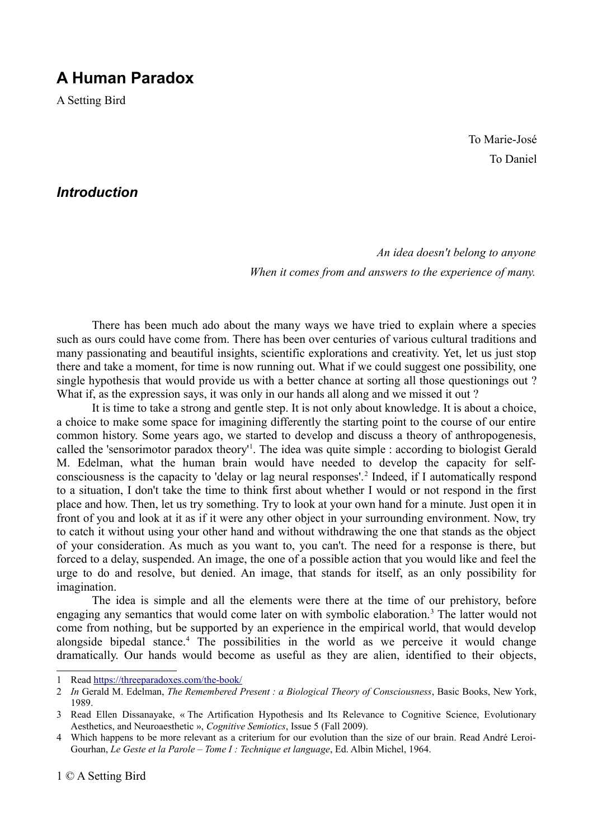# **A Human Paradox**

A Setting Bird

To Marie-José To Daniel

# *Introduction*

*An idea doesn't belong to anyone When it comes from and answers to the experience of many.*

There has been much ado about the many ways we have tried to explain where a species such as ours could have come from. There has been over centuries of various cultural traditions and many passionating and beautiful insights, scientific explorations and creativity. Yet, let us just stop there and take a moment, for time is now running out. What if we could suggest one possibility, one single hypothesis that would provide us with a better chance at sorting all those questionings out ? What if, as the expression says, it was only in our hands all along and we missed it out?

It is time to take a strong and gentle step. It is not only about knowledge. It is about a choice, a choice to make some space for imagining differently the starting point to the course of our entire common history. Some years ago, we started to develop and discuss a theory of anthropogenesis, called the 'sensorimotor paradox theory'<sup>[1](#page-0-0)</sup>. The idea was quite simple : according to biologist Gerald M. Edelman, what the human brain would have needed to develop the capacity for self-consciousness is the capacity to 'delay or lag neural responses'.<sup>[2](#page-0-1)</sup> Indeed, if I automatically respond to a situation, I don't take the time to think first about whether I would or not respond in the first place and how. Then, let us try something. Try to look at your own hand for a minute. Just open it in front of you and look at it as if it were any other object in your surrounding environment. Now, try to catch it without using your other hand and without withdrawing the one that stands as the object of your consideration. As much as you want to, you can't. The need for a response is there, but forced to a delay, suspended. An image, the one of a possible action that you would like and feel the urge to do and resolve, but denied. An image, that stands for itself, as an only possibility for imagination.

The idea is simple and all the elements were there at the time of our prehistory, before engaging any semantics that would come later on with symbolic elaboration.<sup>[3](#page-0-2)</sup> The latter would not come from nothing, but be supported by an experience in the empirical world, that would develop alongside bipedal stance.<sup>[4](#page-0-3)</sup> The possibilities in the world as we perceive it would change dramatically. Our hands would become as useful as they are alien, identified to their objects,

<span id="page-0-0"></span><sup>1</sup> Read<https://threeparadoxes.com/the-book/>

<span id="page-0-1"></span><sup>2</sup> *In* Gerald M. Edelman, *The Remembered Present : a Biological Theory of Consciousness*, Basic Books, New York, 1989.

<span id="page-0-2"></span><sup>3</sup> Read Ellen Dissanayake, « The Artification Hypothesis and Its Relevance to Cognitive Science, Evolutionary Aesthetics, and Neuroaesthetic », *Cognitive Semiotics*, Issue 5 (Fall 2009).

<span id="page-0-3"></span><sup>4</sup> Which happens to be more relevant as a criterium for our evolution than the size of our brain. Read André Leroi-Gourhan, *Le Geste et la Parole – Tome I : Technique et language*, Ed. Albin Michel, 1964.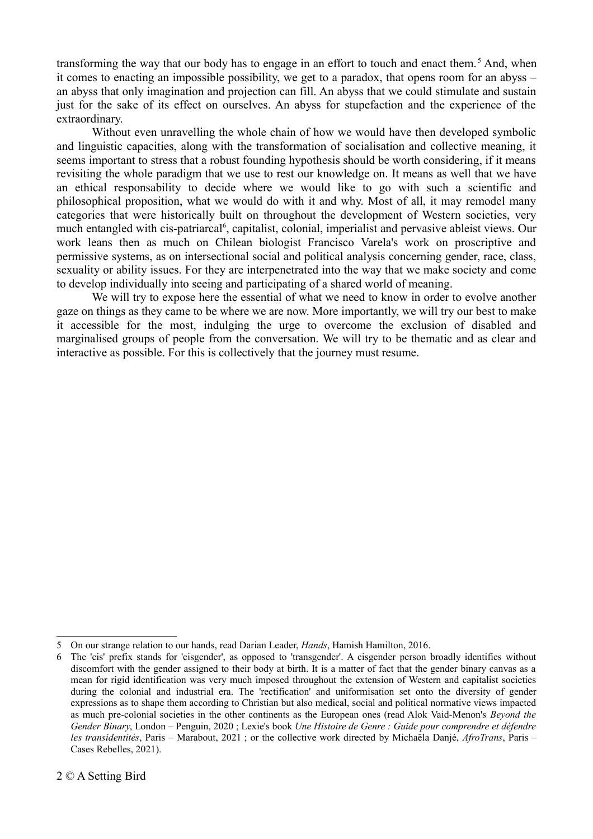transforming the way that our body has to engage in an effort to touch and enact them.<sup>[5](#page-1-0)</sup> And, when it comes to enacting an impossible possibility, we get to a paradox, that opens room for an abyss – an abyss that only imagination and projection can fill. An abyss that we could stimulate and sustain just for the sake of its effect on ourselves. An abyss for stupefaction and the experience of the extraordinary.

Without even unravelling the whole chain of how we would have then developed symbolic and linguistic capacities, along with the transformation of socialisation and collective meaning, it seems important to stress that a robust founding hypothesis should be worth considering, if it means revisiting the whole paradigm that we use to rest our knowledge on. It means as well that we have an ethical responsability to decide where we would like to go with such a scientific and philosophical proposition, what we would do with it and why. Most of all, it may remodel many categories that were historically built on throughout the development of Western societies, very much entangled with cis-patriarcal<sup>[6](#page-1-1)</sup>, capitalist, colonial, imperialist and pervasive ableist views. Our work leans then as much on Chilean biologist Francisco Varela's work on proscriptive and permissive systems, as on intersectional social and political analysis concerning gender, race, class, sexuality or ability issues. For they are interpenetrated into the way that we make society and come to develop individually into seeing and participating of a shared world of meaning.

We will try to expose here the essential of what we need to know in order to evolve another gaze on things as they came to be where we are now. More importantly, we will try our best to make it accessible for the most, indulging the urge to overcome the exclusion of disabled and marginalised groups of people from the conversation. We will try to be thematic and as clear and interactive as possible. For this is collectively that the journey must resume.

<span id="page-1-0"></span><sup>5</sup> On our strange relation to our hands, read Darian Leader, *Hands*, Hamish Hamilton, 2016.

<span id="page-1-1"></span><sup>6</sup> The 'cis' prefix stands for 'cisgender', as opposed to 'transgender'. A cisgender person broadly identifies without discomfort with the gender assigned to their body at birth. It is a matter of fact that the gender binary canvas as a mean for rigid identification was very much imposed throughout the extension of Western and capitalist societies during the colonial and industrial era. The 'rectification' and uniformisation set onto the diversity of gender expressions as to shape them according to Christian but also medical, social and political normative views impacted as much pre-colonial societies in the other continents as the European ones (read Alok Vaid-Menon's *Beyond the Gender Binary*, London – Penguin, 2020 ; Lexie's book *Une Histoire de Genre : Guide pour comprendre et défendre les transidentités*, Paris – Marabout, 2021 ; or the collective work directed by Michaëla Danjé, *AfroTrans*, Paris – Cases Rebelles, 2021).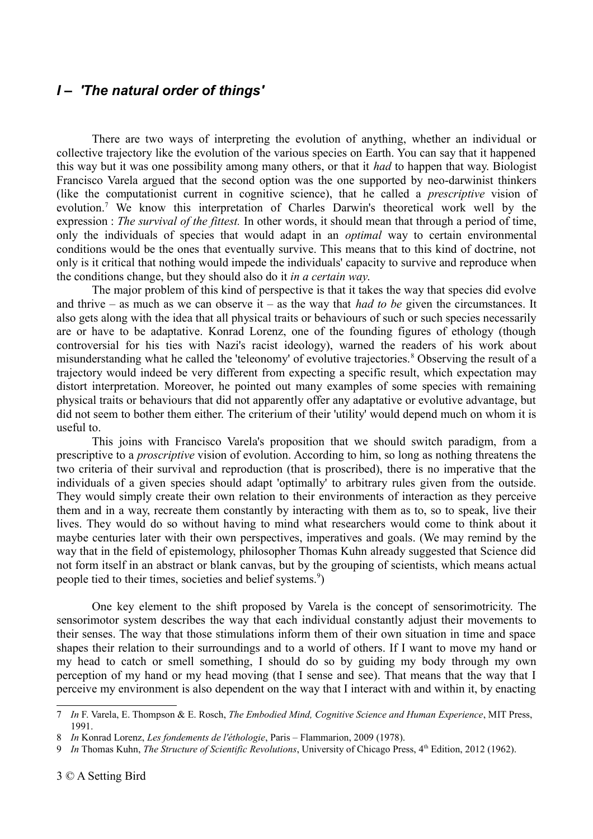### *I – 'The natural order of things'*

There are two ways of interpreting the evolution of anything, whether an individual or collective trajectory like the evolution of the various species on Earth. You can say that it happened this way but it was one possibility among many others, or that it *had* to happen that way. Biologist Francisco Varela argued that the second option was the one supported by neo-darwinist thinkers (like the computationist current in cognitive science), that he called a *prescriptive* vision of evolution.<sup>[7](#page-2-0)</sup> We know this interpretation of Charles Darwin's theoretical work well by the expression : *The survival of the fittest.* In other words, it should mean that through a period of time, only the individuals of species that would adapt in an *optimal* way to certain environmental conditions would be the ones that eventually survive. This means that to this kind of doctrine, not only is it critical that nothing would impede the individuals' capacity to survive and reproduce when the conditions change, but they should also do it *in a certain way*.

The major problem of this kind of perspective is that it takes the way that species did evolve and thrive – as much as we can observe it – as the way that *had to be* given the circumstances. It also gets along with the idea that all physical traits or behaviours of such or such species necessarily are or have to be adaptative. Konrad Lorenz, one of the founding figures of ethology (though controversial for his ties with Nazi's racist ideology), warned the readers of his work about misunderstanding what he called the 'teleonomy' of evolutive trajectories.<sup>[8](#page-2-1)</sup> Observing the result of a trajectory would indeed be very different from expecting a specific result, which expectation may distort interpretation. Moreover, he pointed out many examples of some species with remaining physical traits or behaviours that did not apparently offer any adaptative or evolutive advantage, but did not seem to bother them either. The criterium of their 'utility' would depend much on whom it is useful to.

This joins with Francisco Varela's proposition that we should switch paradigm, from a prescriptive to a *proscriptive* vision of evolution. According to him, so long as nothing threatens the two criteria of their survival and reproduction (that is proscribed), there is no imperative that the individuals of a given species should adapt 'optimally' to arbitrary rules given from the outside. They would simply create their own relation to their environments of interaction as they perceive them and in a way, recreate them constantly by interacting with them as to, so to speak, live their lives. They would do so without having to mind what researchers would come to think about it maybe centuries later with their own perspectives, imperatives and goals. (We may remind by the way that in the field of epistemology, philosopher Thomas Kuhn already suggested that Science did not form itself in an abstract or blank canvas, but by the grouping of scientists, which means actual people tied to their times, societies and belief systems.<sup>[9](#page-2-2)</sup>)

One key element to the shift proposed by Varela is the concept of sensorimotricity. The sensorimotor system describes the way that each individual constantly adjust their movements to their senses. The way that those stimulations inform them of their own situation in time and space shapes their relation to their surroundings and to a world of others. If I want to move my hand or my head to catch or smell something, I should do so by guiding my body through my own perception of my hand or my head moving (that I sense and see). That means that the way that I perceive my environment is also dependent on the way that I interact with and within it, by enacting

<span id="page-2-0"></span><sup>7</sup> *In* F. Varela, E. Thompson & E. Rosch, *The Embodied Mind, Cognitive Science and Human Experience*, MIT Press, 1991.

<span id="page-2-1"></span><sup>8</sup> *In* Konrad Lorenz, *Les fondements de l'éthologie*, Paris – Flammarion, 2009 (1978).

<span id="page-2-2"></span><sup>9</sup> *In Thomas Kuhn, The Structure of Scientific Revolutions*, University of Chicago Press, 4<sup>th</sup> Edition, 2012 (1962).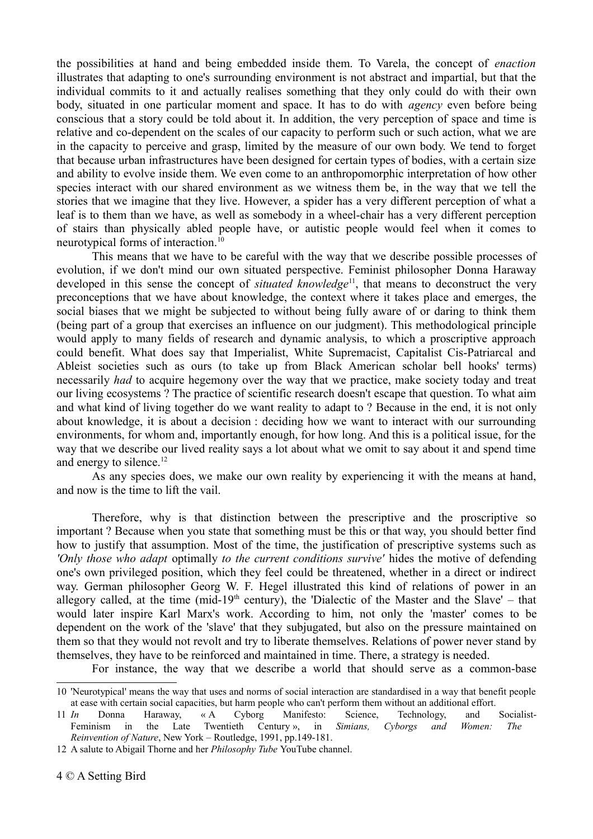the possibilities at hand and being embedded inside them. To Varela, the concept of *enaction* illustrates that adapting to one's surrounding environment is not abstract and impartial, but that the individual commits to it and actually realises something that they only could do with their own body, situated in one particular moment and space. It has to do with *agency* even before being conscious that a story could be told about it. In addition, the very perception of space and time is relative and co-dependent on the scales of our capacity to perform such or such action, what we are in the capacity to perceive and grasp, limited by the measure of our own body. We tend to forget that because urban infrastructures have been designed for certain types of bodies, with a certain size and ability to evolve inside them. We even come to an anthropomorphic interpretation of how other species interact with our shared environment as we witness them be, in the way that we tell the stories that we imagine that they live. However, a spider has a very different perception of what a leaf is to them than we have, as well as somebody in a wheel-chair has a very different perception of stairs than physically abled people have, or autistic people would feel when it comes to neurotypical forms of interaction.<sup>[10](#page-3-0)</sup>

This means that we have to be careful with the way that we describe possible processes of evolution, if we don't mind our own situated perspective. Feminist philosopher Donna Haraway developed in this sense the concept of *situated knowledge*<sup>[11](#page-3-1)</sup>, that means to deconstruct the very preconceptions that we have about knowledge, the context where it takes place and emerges, the social biases that we might be subjected to without being fully aware of or daring to think them (being part of a group that exercises an influence on our judgment). This methodological principle would apply to many fields of research and dynamic analysis, to which a proscriptive approach could benefit. What does say that Imperialist, White Supremacist, Capitalist Cis-Patriarcal and Ableist societies such as ours (to take up from Black American scholar bell hooks' terms) necessarily *had* to acquire hegemony over the way that we practice, make society today and treat our living ecosystems ? The practice of scientific research doesn't escape that question. To what aim and what kind of living together do we want reality to adapt to ? Because in the end, it is not only about knowledge, it is about a decision : deciding how we want to interact with our surrounding environments, for whom and, importantly enough, for how long. And this is a political issue, for the way that we describe our lived reality says a lot about what we omit to say about it and spend time and energy to silence. $12$ 

As any species does, we make our own reality by experiencing it with the means at hand, and now is the time to lift the vail.

Therefore, why is that distinction between the prescriptive and the proscriptive so important ? Because when you state that something must be this or that way, you should better find how to justify that assumption. Most of the time, the justification of prescriptive systems such as *'Only those who adapt* optimally *to the current conditions survive'* hides the motive of defending one's own privileged position, which they feel could be threatened, whether in a direct or indirect way. German philosopher Georg W. F. Hegel illustrated this kind of relations of power in an allegory called, at the time (mid-19<sup>th</sup> century), the 'Dialectic of the Master and the Slave' – that would later inspire Karl Marx's work. According to him, not only the 'master' comes to be dependent on the work of the 'slave' that they subjugated, but also on the pressure maintained on them so that they would not revolt and try to liberate themselves. Relations of power never stand by themselves, they have to be reinforced and maintained in time. There, a strategy is needed.

For instance, the way that we describe a world that should serve as a common-base

<span id="page-3-0"></span><sup>10</sup> 'Neurotypical' means the way that uses and norms of social interaction are standardised in a way that benefit people at ease with certain social capacities, but harm people who can't perform them without an additional effort.

<span id="page-3-1"></span><sup>11</sup> *In* Donna Haraway, « A Cyborg Manifesto: Science, Technology, and Socialist-Feminism in the Late Twentieth Century », in *Simians, Cyborgs and Women: The Reinvention of Nature*, New York – Routledge, 1991, pp.149-181.

<span id="page-3-2"></span><sup>12</sup> A salute to Abigail Thorne and her *Philosophy Tube* YouTube channel.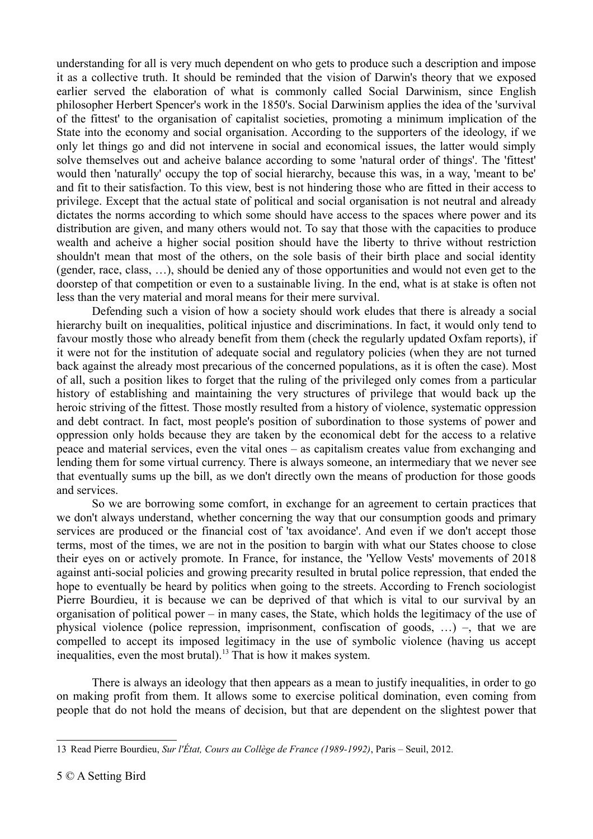understanding for all is very much dependent on who gets to produce such a description and impose it as a collective truth. It should be reminded that the vision of Darwin's theory that we exposed earlier served the elaboration of what is commonly called Social Darwinism, since English philosopher Herbert Spencer's work in the 1850's. Social Darwinism applies the idea of the 'survival of the fittest' to the organisation of capitalist societies, promoting a minimum implication of the State into the economy and social organisation. According to the supporters of the ideology, if we only let things go and did not intervene in social and economical issues, the latter would simply solve themselves out and acheive balance according to some 'natural order of things'. The 'fittest' would then 'naturally' occupy the top of social hierarchy, because this was, in a way, 'meant to be' and fit to their satisfaction. To this view, best is not hindering those who are fitted in their access to privilege. Except that the actual state of political and social organisation is not neutral and already dictates the norms according to which some should have access to the spaces where power and its distribution are given, and many others would not. To say that those with the capacities to produce wealth and acheive a higher social position should have the liberty to thrive without restriction shouldn't mean that most of the others, on the sole basis of their birth place and social identity (gender, race, class, …), should be denied any of those opportunities and would not even get to the doorstep of that competition or even to a sustainable living. In the end, what is at stake is often not less than the very material and moral means for their mere survival.

Defending such a vision of how a society should work eludes that there is already a social hierarchy built on inequalities, political injustice and discriminations. In fact, it would only tend to favour mostly those who already benefit from them (check the regularly updated Oxfam reports), if it were not for the institution of adequate social and regulatory policies (when they are not turned back against the already most precarious of the concerned populations, as it is often the case). Most of all, such a position likes to forget that the ruling of the privileged only comes from a particular history of establishing and maintaining the very structures of privilege that would back up the heroic striving of the fittest. Those mostly resulted from a history of violence, systematic oppression and debt contract. In fact, most people's position of subordination to those systems of power and oppression only holds because they are taken by the economical debt for the access to a relative peace and material services, even the vital ones – as capitalism creates value from exchanging and lending them for some virtual currency. There is always someone, an intermediary that we never see that eventually sums up the bill, as we don't directly own the means of production for those goods and services.

So we are borrowing some comfort, in exchange for an agreement to certain practices that we don't always understand, whether concerning the way that our consumption goods and primary services are produced or the financial cost of 'tax avoidance'. And even if we don't accept those terms, most of the times, we are not in the position to bargin with what our States choose to close their eyes on or actively promote. In France, for instance, the 'Yellow Vests' movements of 2018 against anti-social policies and growing precarity resulted in brutal police repression, that ended the hope to eventually be heard by politics when going to the streets. According to French sociologist Pierre Bourdieu, it is because we can be deprived of that which is vital to our survival by an organisation of political power – in many cases, the State, which holds the legitimacy of the use of physical violence (police repression, imprisonment, confiscation of goods, …) –, that we are compelled to accept its imposed legitimacy in the use of symbolic violence (having us accept inequalities, even the most brutal).<sup>[13](#page-4-0)</sup> That is how it makes system.

There is always an ideology that then appears as a mean to justify inequalities, in order to go on making profit from them. It allows some to exercise political domination, even coming from people that do not hold the means of decision, but that are dependent on the slightest power that

<span id="page-4-0"></span><sup>13</sup> Read Pierre Bourdieu, *Sur l'État, Cours au Collège de France (1989-1992)*, Paris – Seuil, 2012.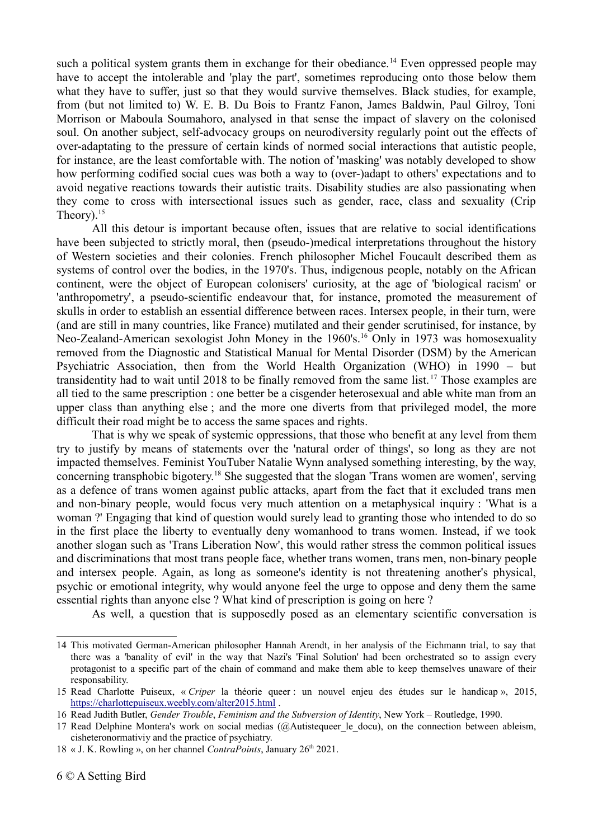such a political system grants them in exchange for their obediance.<sup>[14](#page-5-0)</sup> Even oppressed people may have to accept the intolerable and 'play the part', sometimes reproducing onto those below them what they have to suffer, just so that they would survive themselves. Black studies, for example, from (but not limited to) W. E. B. Du Bois to Frantz Fanon, James Baldwin, Paul Gilroy, Toni Morrison or Maboula Soumahoro, analysed in that sense the impact of slavery on the colonised soul. On another subject, self-advocacy groups on neurodiversity regularly point out the effects of over-adaptating to the pressure of certain kinds of normed social interactions that autistic people, for instance, are the least comfortable with. The notion of 'masking' was notably developed to show how performing codified social cues was both a way to (over-)adapt to others' expectations and to avoid negative reactions towards their autistic traits. Disability studies are also passionating when they come to cross with intersectional issues such as gender, race, class and sexuality (Crip Theory). $15$ 

All this detour is important because often, issues that are relative to social identifications have been subjected to strictly moral, then (pseudo-)medical interpretations throughout the history of Western societies and their colonies. French philosopher Michel Foucault described them as systems of control over the bodies, in the 1970's. Thus, indigenous people, notably on the African continent, were the object of European colonisers' curiosity, at the age of 'biological racism' or 'anthropometry', a pseudo-scientific endeavour that, for instance, promoted the measurement of skulls in order to establish an essential difference between races. Intersex people, in their turn, were (and are still in many countries, like France) mutilated and their gender scrutinised, for instance, by Neo-Zealand-American sexologist John Money in the 1960's.<sup>[16](#page-5-2)</sup> Only in 1973 was homosexuality removed from the Diagnostic and Statistical Manual for Mental Disorder (DSM) by the American Psychiatric Association, then from the World Health Organization (WHO) in 1990 – but transidentity had to wait until 2018 to be finally removed from the same list. [17](#page-5-3) Those examples are all tied to the same prescription : one better be a cisgender heterosexual and able white man from an upper class than anything else ; and the more one diverts from that privileged model, the more difficult their road might be to access the same spaces and rights.

That is why we speak of systemic oppressions, that those who benefit at any level from them try to justify by means of statements over the 'natural order of things', so long as they are not impacted themselves. Feminist YouTuber Natalie Wynn analysed something interesting, by the way, concerning transphobic bigotery.[18](#page-5-4) She suggested that the slogan 'Trans women are women', serving as a defence of trans women against public attacks, apart from the fact that it excluded trans men and non-binary people, would focus very much attention on a metaphysical inquiry : 'What is a woman ?' Engaging that kind of question would surely lead to granting those who intended to do so in the first place the liberty to eventually deny womanhood to trans women. Instead, if we took another slogan such as 'Trans Liberation Now', this would rather stress the common political issues and discriminations that most trans people face, whether trans women, trans men, non-binary people and intersex people. Again, as long as someone's identity is not threatening another's physical, psychic or emotional integrity, why would anyone feel the urge to oppose and deny them the same essential rights than anyone else ? What kind of prescription is going on here ?

As well, a question that is supposedly posed as an elementary scientific conversation is

<span id="page-5-0"></span><sup>14</sup> This motivated German-American philosopher Hannah Arendt, in her analysis of the Eichmann trial, to say that there was a 'banality of evil' in the way that Nazi's 'Final Solution' had been orchestrated so to assign every protagonist to a specific part of the chain of command and make them able to keep themselves unaware of their responsability.

<span id="page-5-1"></span><sup>15</sup> Read Charlotte Puiseux, « *Criper* la théorie queer : un nouvel enjeu des études sur le handicap », 2015, <https://charlottepuiseux.weebly.com/alter2015.html>.

<span id="page-5-2"></span><sup>16</sup> Read Judith Butler, *Gender Trouble*, *Feminism and the Subversion of Identity*, New York – Routledge, 1990.

<span id="page-5-3"></span><sup>17</sup> Read Delphine Montera's work on social medias (@Autistequeer le docu), on the connection between ableism, cisheteronormativiy and the practice of psychiatry.

<span id="page-5-4"></span><sup>18</sup> « J. K. Rowling », on her channel *ContraPoints*, January 26th 2021.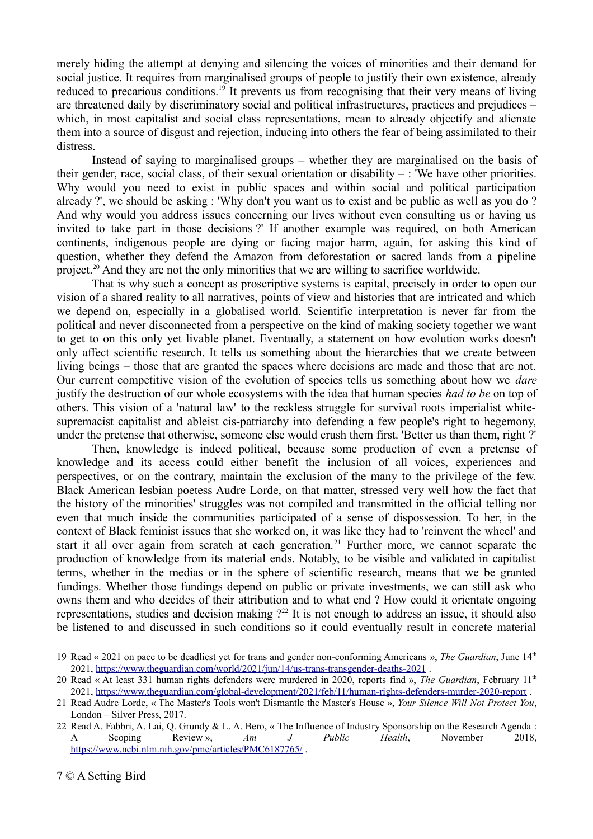merely hiding the attempt at denying and silencing the voices of minorities and their demand for social justice. It requires from marginalised groups of people to justify their own existence, already reduced to precarious conditions.<sup>[19](#page-6-0)</sup> It prevents us from recognising that their very means of living are threatened daily by discriminatory social and political infrastructures, practices and prejudices – which, in most capitalist and social class representations, mean to already objectify and alienate them into a source of disgust and rejection, inducing into others the fear of being assimilated to their distress.

Instead of saying to marginalised groups – whether they are marginalised on the basis of their gender, race, social class, of their sexual orientation or disability  $-$ : 'We have other priorities. Why would you need to exist in public spaces and within social and political participation already ?', we should be asking : 'Why don't you want us to exist and be public as well as you do ? And why would you address issues concerning our lives without even consulting us or having us invited to take part in those decisions ?' If another example was required, on both American continents, indigenous people are dying or facing major harm, again, for asking this kind of question, whether they defend the Amazon from deforestation or sacred lands from a pipeline project.[20](#page-6-1) And they are not the only minorities that we are willing to sacrifice worldwide.

That is why such a concept as proscriptive systems is capital, precisely in order to open our vision of a shared reality to all narratives, points of view and histories that are intricated and which we depend on, especially in a globalised world. Scientific interpretation is never far from the political and never disconnected from a perspective on the kind of making society together we want to get to on this only yet livable planet. Eventually, a statement on how evolution works doesn't only affect scientific research. It tells us something about the hierarchies that we create between living beings – those that are granted the spaces where decisions are made and those that are not. Our current competitive vision of the evolution of species tells us something about how we *dare* justify the destruction of our whole ecosystems with the idea that human species *had to be* on top of others. This vision of a 'natural law' to the reckless struggle for survival roots imperialist whitesupremacist capitalist and ableist cis-patriarchy into defending a few people's right to hegemony, under the pretense that otherwise, someone else would crush them first. 'Better us than them, right ?'

Then, knowledge is indeed political, because some production of even a pretense of knowledge and its access could either benefit the inclusion of all voices, experiences and perspectives, or on the contrary, maintain the exclusion of the many to the privilege of the few. Black American lesbian poetess Audre Lorde, on that matter, stressed very well how the fact that the history of the minorities' struggles was not compiled and transmitted in the official telling nor even that much inside the communities participated of a sense of dispossession. To her, in the context of Black feminist issues that she worked on, it was like they had to 'reinvent the wheel' and start it all over again from scratch at each generation.<sup>[21](#page-6-2)</sup> Further more, we cannot separate the production of knowledge from its material ends. Notably, to be visible and validated in capitalist terms, whether in the medias or in the sphere of scientific research, means that we be granted fundings. Whether those fundings depend on public or private investments, we can still ask who owns them and who decides of their attribution and to what end ? How could it orientate ongoing representations, studies and decision making  $2^{22}$  $2^{22}$  $2^{22}$  It is not enough to address an issue, it should also be listened to and discussed in such conditions so it could eventually result in concrete material

<span id="page-6-0"></span><sup>19</sup> Read « 2021 on pace to be deadliest yet for trans and gender non-conforming Americans », *The Guardian*, June 14th 2021, <https://www.theguardian.com/world/2021/jun/14/us-trans-transgender-deaths-2021>.

<span id="page-6-1"></span><sup>20</sup> Read « At least 331 human rights defenders were murdered in 2020, reports find », *The Guardian*, February 11th 2021,<https://www.theguardian.com/global-development/2021/feb/11/human-rights-defenders-murder-2020-report>.

<span id="page-6-2"></span><sup>21</sup> Read Audre Lorde, « The Master's Tools won't Dismantle the Master's House », *Your Silence Will Not Protect You*, London – Silver Press, 2017.

<span id="page-6-3"></span><sup>22</sup> Read A. Fabbri, A. Lai, Q. Grundy & L. A. Bero, « The Influence of Industry Sponsorship on the Research Agenda : A Scoping Review », *Am J Public Health*, November 2018, <https://www.ncbi.nlm.nih.gov/pmc/articles/PMC6187765/>.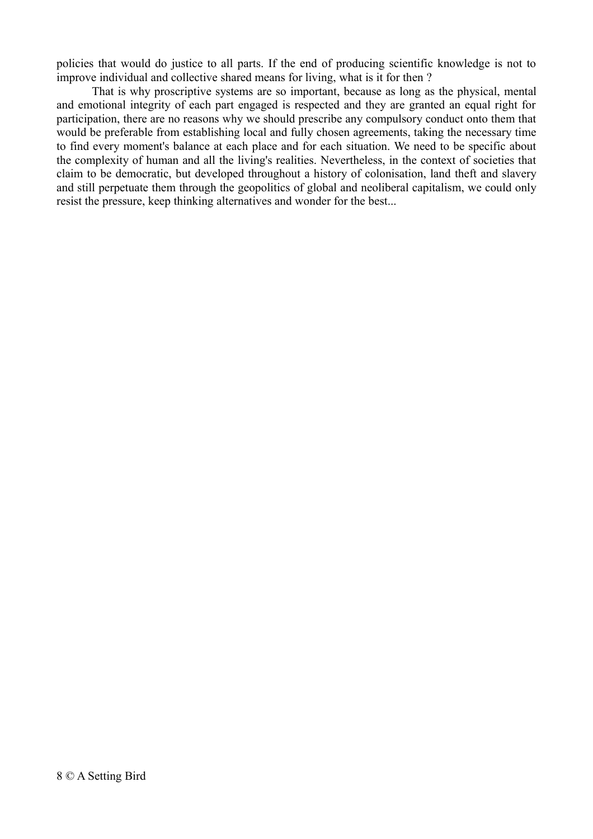policies that would do justice to all parts. If the end of producing scientific knowledge is not to improve individual and collective shared means for living, what is it for then ?

That is why proscriptive systems are so important, because as long as the physical, mental and emotional integrity of each part engaged is respected and they are granted an equal right for participation, there are no reasons why we should prescribe any compulsory conduct onto them that would be preferable from establishing local and fully chosen agreements, taking the necessary time to find every moment's balance at each place and for each situation. We need to be specific about the complexity of human and all the living's realities. Nevertheless, in the context of societies that claim to be democratic, but developed throughout a history of colonisation, land theft and slavery and still perpetuate them through the geopolitics of global and neoliberal capitalism, we could only resist the pressure, keep thinking alternatives and wonder for the best...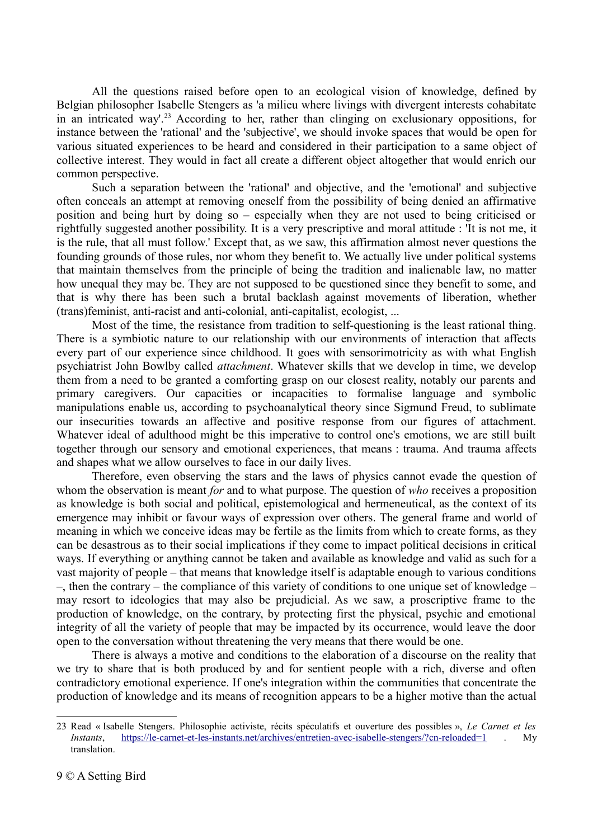All the questions raised before open to an ecological vision of knowledge, defined by Belgian philosopher Isabelle Stengers as 'a milieu where livings with divergent interests cohabitate in an intricated way'.<sup>[23](#page-8-0)</sup> According to her, rather than clinging on exclusionary oppositions, for instance between the 'rational' and the 'subjective', we should invoke spaces that would be open for various situated experiences to be heard and considered in their participation to a same object of collective interest. They would in fact all create a different object altogether that would enrich our common perspective.

Such a separation between the 'rational' and objective, and the 'emotional' and subjective often conceals an attempt at removing oneself from the possibility of being denied an affirmative position and being hurt by doing so – especially when they are not used to being criticised or rightfully suggested another possibility. It is a very prescriptive and moral attitude : 'It is not me, it is the rule, that all must follow.' Except that, as we saw, this affirmation almost never questions the founding grounds of those rules, nor whom they benefit to. We actually live under political systems that maintain themselves from the principle of being the tradition and inalienable law, no matter how unequal they may be. They are not supposed to be questioned since they benefit to some, and that is why there has been such a brutal backlash against movements of liberation, whether (trans)feminist, anti-racist and anti-colonial, anti-capitalist, ecologist, ...

Most of the time, the resistance from tradition to self-questioning is the least rational thing. There is a symbiotic nature to our relationship with our environments of interaction that affects every part of our experience since childhood. It goes with sensorimotricity as with what English psychiatrist John Bowlby called *attachment*. Whatever skills that we develop in time, we develop them from a need to be granted a comforting grasp on our closest reality, notably our parents and primary caregivers. Our capacities or incapacities to formalise language and symbolic manipulations enable us, according to psychoanalytical theory since Sigmund Freud, to sublimate our insecurities towards an affective and positive response from our figures of attachment. Whatever ideal of adulthood might be this imperative to control one's emotions, we are still built together through our sensory and emotional experiences, that means : trauma. And trauma affects and shapes what we allow ourselves to face in our daily lives.

Therefore, even observing the stars and the laws of physics cannot evade the question of whom the observation is meant *for* and to what purpose. The question of *who* receives a proposition as knowledge is both social and political, epistemological and hermeneutical, as the context of its emergence may inhibit or favour ways of expression over others. The general frame and world of meaning in which we conceive ideas may be fertile as the limits from which to create forms, as they can be desastrous as to their social implications if they come to impact political decisions in critical ways. If everything or anything cannot be taken and available as knowledge and valid as such for a vast majority of people – that means that knowledge itself is adaptable enough to various conditions –, then the contrary – the compliance of this variety of conditions to one unique set of knowledge – may resort to ideologies that may also be prejudicial. As we saw, a proscriptive frame to the production of knowledge, on the contrary, by protecting first the physical, psychic and emotional integrity of all the variety of people that may be impacted by its occurrence, would leave the door open to the conversation without threatening the very means that there would be one.

There is always a motive and conditions to the elaboration of a discourse on the reality that we try to share that is both produced by and for sentient people with a rich, diverse and often contradictory emotional experience. If one's integration within the communities that concentrate the production of knowledge and its means of recognition appears to be a higher motive than the actual

<span id="page-8-0"></span><sup>23</sup> Read « Isabelle Stengers. Philosophie activiste, récits spéculatifs et ouverture des possibles », *Le Carnet et les Instants*,<https://le-carnet-et-les-instants.net/archives/entretien-avec-isabelle-stengers/?cn-reloaded=1>. My translation.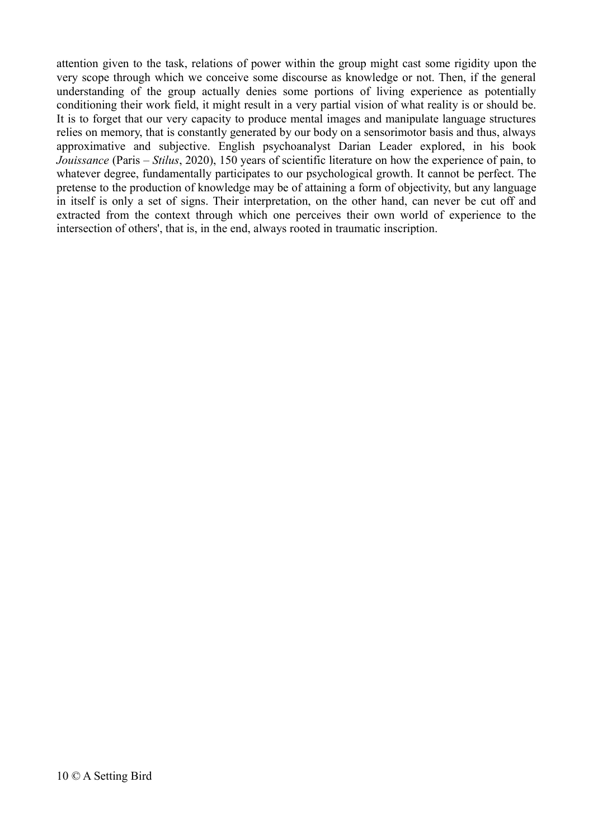attention given to the task, relations of power within the group might cast some rigidity upon the very scope through which we conceive some discourse as knowledge or not. Then, if the general understanding of the group actually denies some portions of living experience as potentially conditioning their work field, it might result in a very partial vision of what reality is or should be. It is to forget that our very capacity to produce mental images and manipulate language structures relies on memory, that is constantly generated by our body on a sensorimotor basis and thus, always approximative and subjective. English psychoanalyst Darian Leader explored, in his book *Jouissance* (Paris – *Stilus*, 2020), 150 years of scientific literature on how the experience of pain, to whatever degree, fundamentally participates to our psychological growth. It cannot be perfect. The pretense to the production of knowledge may be of attaining a form of objectivity, but any language in itself is only a set of signs. Their interpretation, on the other hand, can never be cut off and extracted from the context through which one perceives their own world of experience to the intersection of others', that is, in the end, always rooted in traumatic inscription.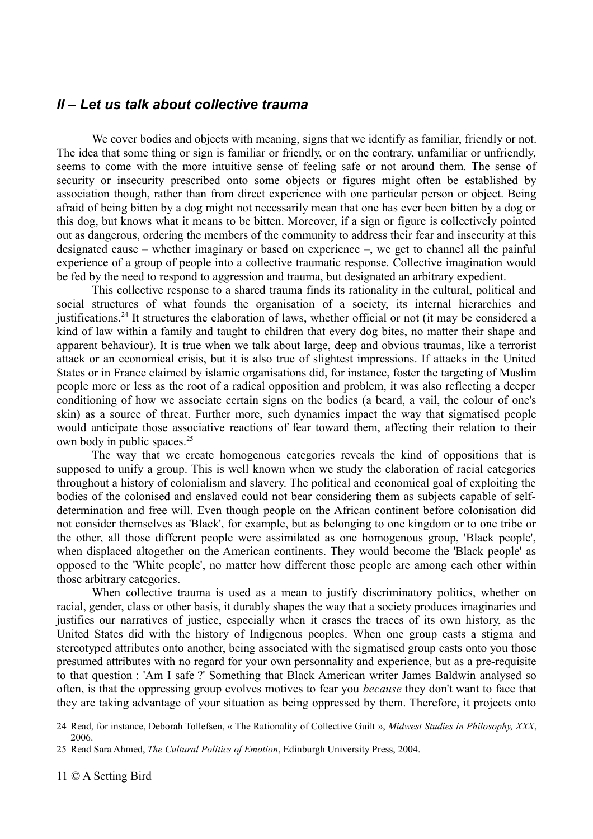### *II – Let us talk about collective trauma*

We cover bodies and objects with meaning, signs that we identify as familiar, friendly or not. The idea that some thing or sign is familiar or friendly, or on the contrary, unfamiliar or unfriendly, seems to come with the more intuitive sense of feeling safe or not around them. The sense of security or insecurity prescribed onto some objects or figures might often be established by association though, rather than from direct experience with one particular person or object. Being afraid of being bitten by a dog might not necessarily mean that one has ever been bitten by a dog or this dog, but knows what it means to be bitten. Moreover, if a sign or figure is collectively pointed out as dangerous, ordering the members of the community to address their fear and insecurity at this designated cause – whether imaginary or based on experience –, we get to channel all the painful experience of a group of people into a collective traumatic response. Collective imagination would be fed by the need to respond to aggression and trauma, but designated an arbitrary expedient.

This collective response to a shared trauma finds its rationality in the cultural, political and social structures of what founds the organisation of a society, its internal hierarchies and justifications.<sup>[24](#page-10-0)</sup> It structures the elaboration of laws, whether official or not (it may be considered a kind of law within a family and taught to children that every dog bites, no matter their shape and apparent behaviour). It is true when we talk about large, deep and obvious traumas, like a terrorist attack or an economical crisis, but it is also true of slightest impressions. If attacks in the United States or in France claimed by islamic organisations did, for instance, foster the targeting of Muslim people more or less as the root of a radical opposition and problem, it was also reflecting a deeper conditioning of how we associate certain signs on the bodies (a beard, a vail, the colour of one's skin) as a source of threat. Further more, such dynamics impact the way that sigmatised people would anticipate those associative reactions of fear toward them, affecting their relation to their own body in public spaces.<sup>[25](#page-10-1)</sup>

The way that we create homogenous categories reveals the kind of oppositions that is supposed to unify a group. This is well known when we study the elaboration of racial categories throughout a history of colonialism and slavery. The political and economical goal of exploiting the bodies of the colonised and enslaved could not bear considering them as subjects capable of selfdetermination and free will. Even though people on the African continent before colonisation did not consider themselves as 'Black', for example, but as belonging to one kingdom or to one tribe or the other, all those different people were assimilated as one homogenous group, 'Black people', when displaced altogether on the American continents. They would become the 'Black people' as opposed to the 'White people', no matter how different those people are among each other within those arbitrary categories.

When collective trauma is used as a mean to justify discriminatory politics, whether on racial, gender, class or other basis, it durably shapes the way that a society produces imaginaries and justifies our narratives of justice, especially when it erases the traces of its own history, as the United States did with the history of Indigenous peoples. When one group casts a stigma and stereotyped attributes onto another, being associated with the sigmatised group casts onto you those presumed attributes with no regard for your own personnality and experience, but as a pre-requisite to that question : 'Am I safe ?' Something that Black American writer James Baldwin analysed so often, is that the oppressing group evolves motives to fear you *because* they don't want to face that they are taking advantage of your situation as being oppressed by them. Therefore, it projects onto

<span id="page-10-0"></span><sup>24</sup> Read, for instance, Deborah Tollefsen, « The Rationality of Collective Guilt », *Midwest Studies in Philosophy, XXX*, 2006.

<span id="page-10-1"></span><sup>25</sup> Read Sara Ahmed, *The Cultural Politics of Emotion*, Edinburgh University Press, 2004.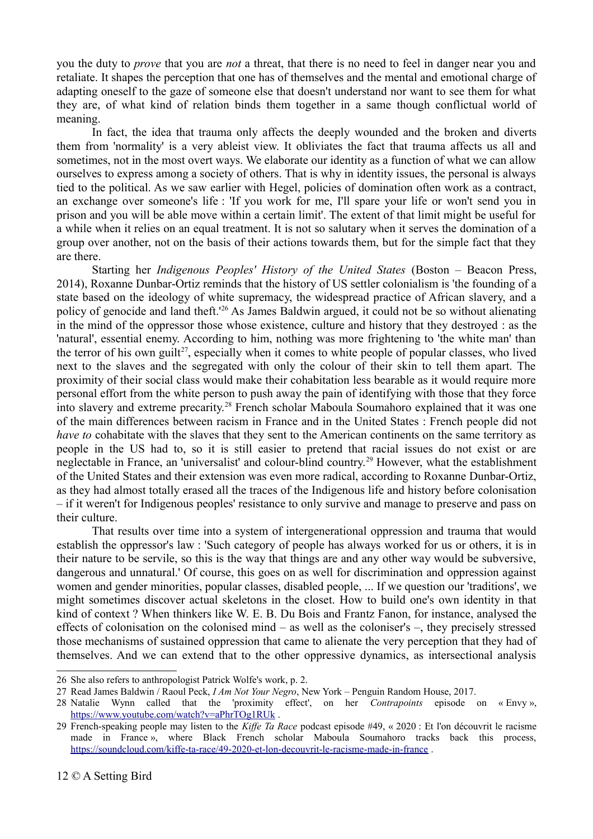you the duty to *prove* that you are *not* a threat, that there is no need to feel in danger near you and retaliate. It shapes the perception that one has of themselves and the mental and emotional charge of adapting oneself to the gaze of someone else that doesn't understand nor want to see them for what they are, of what kind of relation binds them together in a same though conflictual world of meaning.

In fact, the idea that trauma only affects the deeply wounded and the broken and diverts them from 'normality' is a very ableist view. It obliviates the fact that trauma affects us all and sometimes, not in the most overt ways. We elaborate our identity as a function of what we can allow ourselves to express among a society of others. That is why in identity issues, the personal is always tied to the political. As we saw earlier with Hegel, policies of domination often work as a contract, an exchange over someone's life : 'If you work for me, I'll spare your life or won't send you in prison and you will be able move within a certain limit'. The extent of that limit might be useful for a while when it relies on an equal treatment. It is not so salutary when it serves the domination of a group over another, not on the basis of their actions towards them, but for the simple fact that they are there.

Starting her *Indigenous Peoples' History of the United States* (Boston – Beacon Press, 2014), Roxanne Dunbar-Ortiz reminds that the history of US settler colonialism is 'the founding of a state based on the ideology of white supremacy, the widespread practice of African slavery, and a policy of genocide and land theft.'[26](#page-11-0) As James Baldwin argued, it could not be so without alienating in the mind of the oppressor those whose existence, culture and history that they destroyed : as the 'natural', essential enemy. According to him, nothing was more frightening to 'the white man' than the terror of his own guilt<sup>[27](#page-11-1)</sup>, especially when it comes to white people of popular classes, who lived next to the slaves and the segregated with only the colour of their skin to tell them apart. The proximity of their social class would make their cohabitation less bearable as it would require more personal effort from the white person to push away the pain of identifying with those that they force into slavery and extreme precarity.<sup>[28](#page-11-2)</sup> French scholar Maboula Soumahoro explained that it was one of the main differences between racism in France and in the United States : French people did not *have to cohabitate with the slaves that they sent to the American continents on the same territory as* people in the US had to, so it is still easier to pretend that racial issues do not exist or are neglectable in France, an 'universalist' and colour-blind country.<sup>[29](#page-11-3)</sup> However, what the establishment of the United States and their extension was even more radical, according to Roxanne Dunbar-Ortiz, as they had almost totally erased all the traces of the Indigenous life and history before colonisation – if it weren't for Indigenous peoples' resistance to only survive and manage to preserve and pass on their culture.

That results over time into a system of intergenerational oppression and trauma that would establish the oppressor's law : 'Such category of people has always worked for us or others, it is in their nature to be servile, so this is the way that things are and any other way would be subversive, dangerous and unnatural.' Of course, this goes on as well for discrimination and oppression against women and gender minorities, popular classes, disabled people, ... If we question our 'traditions', we might sometimes discover actual skeletons in the closet. How to build one's own identity in that kind of context ? When thinkers like W. E. B. Du Bois and Frantz Fanon, for instance, analysed the effects of colonisation on the colonised mind – as well as the coloniser's –, they precisely stressed those mechanisms of sustained oppression that came to alienate the very perception that they had of themselves. And we can extend that to the other oppressive dynamics, as intersectional analysis

<span id="page-11-0"></span><sup>26</sup> She also refers to anthropologist Patrick Wolfe's work, p. 2.

<span id="page-11-1"></span><sup>27</sup> Read James Baldwin / Raoul Peck, *I Am Not Your Negro*, New York – Penguin Random House, 2017.

<span id="page-11-2"></span><sup>28</sup> Natalie Wynn called that the 'proximity effect', on her *Contrapoints* episode on « Envy », <https://www.youtube.com/watch?v=aPhrTOg1RUk>.

<span id="page-11-3"></span><sup>29</sup> French-speaking people may listen to the *Kiffe Ta Race* podcast episode #49, « 2020 : Et l'on découvrit le racisme made in France », where Black French scholar Maboula Soumahoro tracks back this process, <https://soundcloud.com/kiffe-ta-race/49-2020-et-lon-decouvrit-le-racisme-made-in-france>.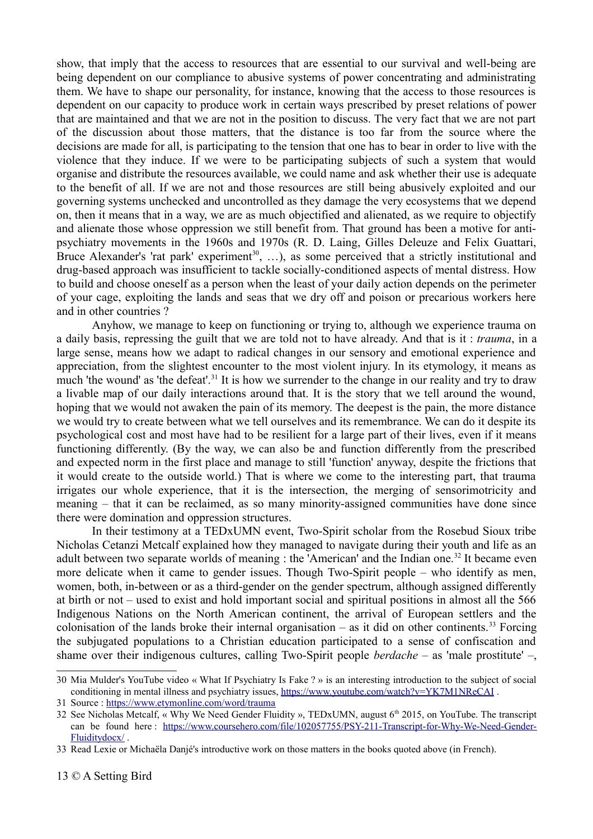show, that imply that the access to resources that are essential to our survival and well-being are being dependent on our compliance to abusive systems of power concentrating and administrating them. We have to shape our personality, for instance, knowing that the access to those resources is dependent on our capacity to produce work in certain ways prescribed by preset relations of power that are maintained and that we are not in the position to discuss. The very fact that we are not part of the discussion about those matters, that the distance is too far from the source where the decisions are made for all, is participating to the tension that one has to bear in order to live with the violence that they induce. If we were to be participating subjects of such a system that would organise and distribute the resources available, we could name and ask whether their use is adequate to the benefit of all. If we are not and those resources are still being abusively exploited and our governing systems unchecked and uncontrolled as they damage the very ecosystems that we depend on, then it means that in a way, we are as much objectified and alienated, as we require to objectify and alienate those whose oppression we still benefit from. That ground has been a motive for antipsychiatry movements in the 1960s and 1970s (R. D. Laing, Gilles Deleuze and Felix Guattari, Bruce Alexander's 'rat park' experiment<sup>[30](#page-12-0)</sup>, ...), as some perceived that a strictly institutional and drug-based approach was insufficient to tackle socially-conditioned aspects of mental distress. How to build and choose oneself as a person when the least of your daily action depends on the perimeter of your cage, exploiting the lands and seas that we dry off and poison or precarious workers here and in other countries ?

Anyhow, we manage to keep on functioning or trying to, although we experience trauma on a daily basis, repressing the guilt that we are told not to have already. And that is it : *trauma*, in a large sense, means how we adapt to radical changes in our sensory and emotional experience and appreciation, from the slightest encounter to the most violent injury. In its etymology, it means as much 'the wound' as 'the defeat'.<sup>[31](#page-12-1)</sup> It is how we surrender to the change in our reality and try to draw a livable map of our daily interactions around that. It is the story that we tell around the wound, hoping that we would not awaken the pain of its memory. The deepest is the pain, the more distance we would try to create between what we tell ourselves and its remembrance. We can do it despite its psychological cost and most have had to be resilient for a large part of their lives, even if it means functioning differently. (By the way, we can also be and function differently from the prescribed and expected norm in the first place and manage to still 'function' anyway, despite the frictions that it would create to the outside world.) That is where we come to the interesting part, that trauma irrigates our whole experience, that it is the intersection, the merging of sensorimotricity and meaning – that it can be reclaimed, as so many minority-assigned communities have done since there were domination and oppression structures.

In their testimony at a TEDxUMN event, Two-Spirit scholar from the Rosebud Sioux tribe Nicholas Cetanzi Metcalf explained how they managed to navigate during their youth and life as an adult between two separate worlds of meaning : the 'American' and the Indian one.<sup>[32](#page-12-2)</sup> It became even more delicate when it came to gender issues. Though Two-Spirit people – who identify as men, women, both, in-between or as a third-gender on the gender spectrum, although assigned differently at birth or not – used to exist and hold important social and spiritual positions in almost all the 566 Indigenous Nations on the North American continent, the arrival of European settlers and the colonisation of the lands broke their internal organisation – as it did on other continents.<sup>[33](#page-12-3)</sup> Forcing the subjugated populations to a Christian education participated to a sense of confiscation and shame over their indigenous cultures, calling Two-Spirit people *berdache* – as 'male prostitute' –,

<span id="page-12-0"></span><sup>30</sup> Mia Mulder's YouTube video « What If Psychiatry Is Fake ? » is an interesting introduction to the subject of social conditioning in mental illness and psychiatry issues, https://www.youtube.com/watch?v=YK7M1NReCAI.

<span id="page-12-1"></span><sup>31</sup> Source :<https://www.etymonline.com/word/trauma>

<span id="page-12-2"></span><sup>32</sup> See Nicholas Metcalf, « Why We Need Gender Fluidity », TEDxUMN, august 6th 2015, on YouTube. The transcript can be found here : [https://www.coursehero.com/file/102057755/PSY-211-Transcript-for-Why-We-Need-Gender-](https://www.coursehero.com/file/102057755/PSY-211-Transcript-for-Why-We-Need-Gender-Fluiditydocx/)[Fluiditydocx/](https://www.coursehero.com/file/102057755/PSY-211-Transcript-for-Why-We-Need-Gender-Fluiditydocx/) .

<span id="page-12-3"></span><sup>33</sup> Read Lexie or Michaëla Danjé's introductive work on those matters in the books quoted above (in French).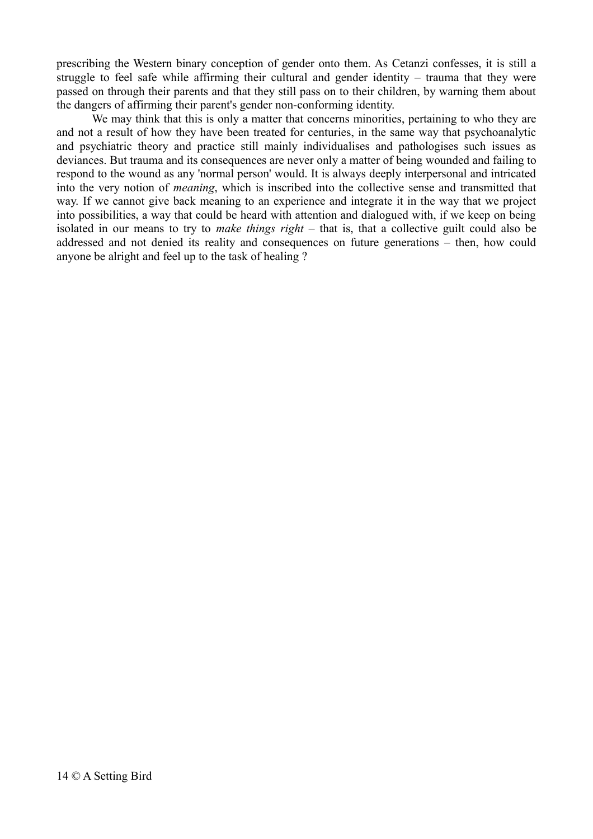prescribing the Western binary conception of gender onto them. As Cetanzi confesses, it is still a struggle to feel safe while affirming their cultural and gender identity – trauma that they were passed on through their parents and that they still pass on to their children, by warning them about the dangers of affirming their parent's gender non-conforming identity.

We may think that this is only a matter that concerns minorities, pertaining to who they are and not a result of how they have been treated for centuries, in the same way that psychoanalytic and psychiatric theory and practice still mainly individualises and pathologises such issues as deviances. But trauma and its consequences are never only a matter of being wounded and failing to respond to the wound as any 'normal person' would. It is always deeply interpersonal and intricated into the very notion of *meaning*, which is inscribed into the collective sense and transmitted that way. If we cannot give back meaning to an experience and integrate it in the way that we project into possibilities, a way that could be heard with attention and dialogued with, if we keep on being isolated in our means to try to *make things right* – that is, that a collective guilt could also be addressed and not denied its reality and consequences on future generations – then, how could anyone be alright and feel up to the task of healing ?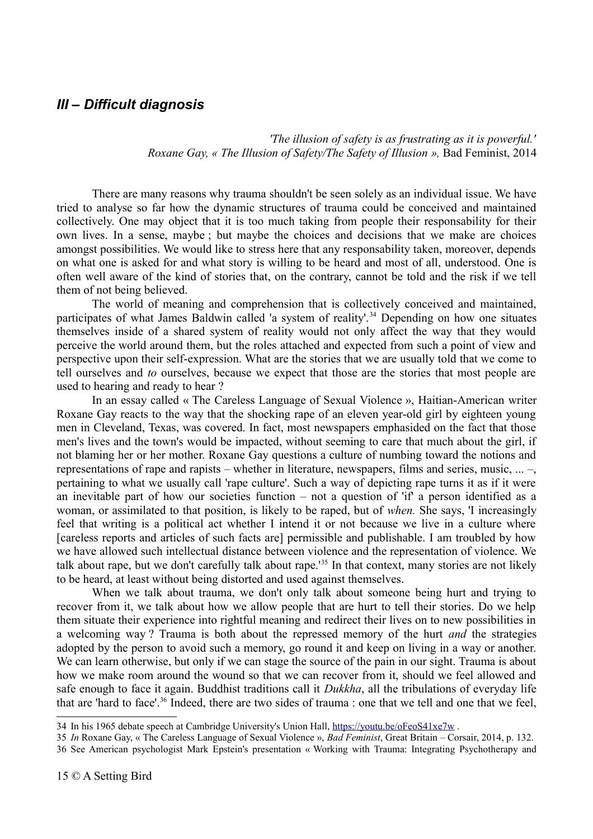## *III – Difficult diagnosis*

*'The illusion of safety is as frustrating as it is powerful.' Roxane Gay, « The Illusion of Safety/The Safety of Illusion »,* Bad Feminist, 2014

There are many reasons why trauma shouldn't be seen solely as an individual issue. We have tried to analyse so far how the dynamic structures of trauma could be conceived and maintained collectively. One may object that it is too much taking from people their responsability for their own lives. In a sense, maybe ; but maybe the choices and decisions that we make are choices amongst possibilities. We would like to stress here that any responsability taken, moreover, depends on what one is asked for and what story is willing to be heard and most of all, understood. One is often well aware of the kind of stories that, on the contrary, cannot be told and the risk if we tell them of not being believed.

The world of meaning and comprehension that is collectively conceived and maintained, participates of what James Baldwin called 'a system of reality'.<sup>[34](#page-14-0)</sup> Depending on how one situates themselves inside of a shared system of reality would not only affect the way that they would perceive the world around them, but the roles attached and expected from such a point of view and perspective upon their self-expression. What are the stories that we are usually told that we come to tell ourselves and *to* ourselves, because we expect that those are the stories that most people are used to hearing and ready to hear ?

In an essay called « The Careless Language of Sexual Violence », Haitian-American writer Roxane Gay reacts to the way that the shocking rape of an eleven year-old girl by eighteen young men in Cleveland, Texas, was covered. In fact, most newspapers emphasided on the fact that those men's lives and the town's would be impacted, without seeming to care that much about the girl, if not blaming her or her mother. Roxane Gay questions a culture of numbing toward the notions and representations of rape and rapists – whether in literature, newspapers, films and series, music, ... –, pertaining to what we usually call 'rape culture'. Such a way of depicting rape turns it as if it were an inevitable part of how our societies function – not a question of 'if' a person identified as a woman, or assimilated to that position, is likely to be raped, but of *when.* She says, 'I increasingly feel that writing is a political act whether I intend it or not because we live in a culture where [careless reports and articles of such facts are] permissible and publishable. I am troubled by how we have allowed such intellectual distance between violence and the representation of violence. We talk about rape, but we don't carefully talk about rape.<sup>1[35](#page-14-1)</sup> In that context, many stories are not likely to be heard, at least without being distorted and used against themselves.

When we talk about trauma, we don't only talk about someone being hurt and trying to recover from it, we talk about how we allow people that are hurt to tell their stories. Do we help them situate their experience into rightful meaning and redirect their lives on to new possibilities in a welcoming way ? Trauma is both about the repressed memory of the hurt *and* the strategies adopted by the person to avoid such a memory, go round it and keep on living in a way or another. We can learn otherwise, but only if we can stage the source of the pain in our sight. Trauma is about how we make room around the wound so that we can recover from it, should we feel allowed and safe enough to face it again. Buddhist traditions call it *Dukkha*, all the tribulations of everyday life that are 'hard to face'.<sup>[36](#page-14-2)</sup> Indeed, there are two sides of trauma : one that we tell and one that we feel,

<span id="page-14-2"></span>36 See American psychologist Mark Epstein's presentation « Working with Trauma: Integrating Psychotherapy and

<span id="page-14-0"></span><sup>34</sup> In his 1965 debate speech at Cambridge University's Union Hall,<https://youtu.be/oFeoS41xe7w>.

<span id="page-14-1"></span><sup>35</sup> *In* Roxane Gay, « The Careless Language of Sexual Violence », *Bad Feminist*, Great Britain – Corsair, 2014, p. 132.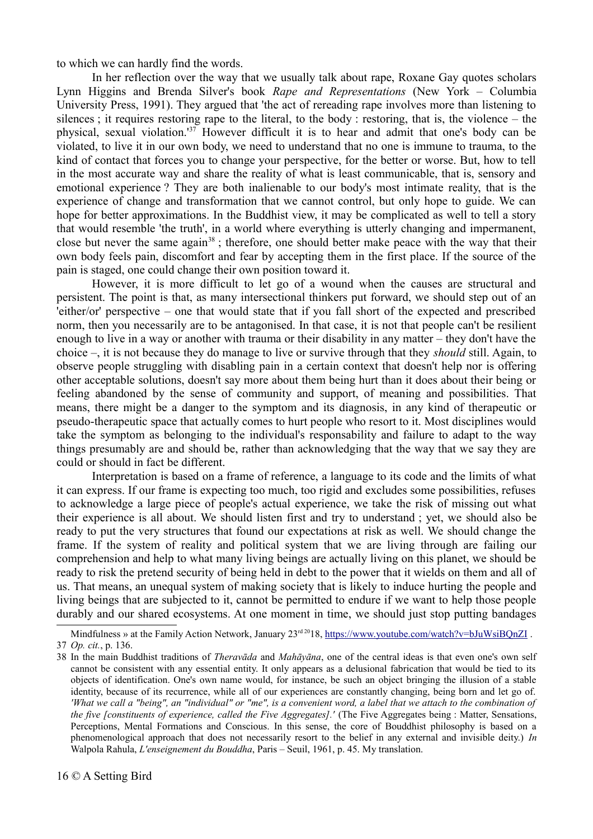to which we can hardly find the words.

In her reflection over the way that we usually talk about rape, Roxane Gay quotes scholars Lynn Higgins and Brenda Silver's book *Rape and Representations* (New York – Columbia University Press, 1991). They argued that 'the act of rereading rape involves more than listening to silences ; it requires restoring rape to the literal, to the body : restoring, that is, the violence – the physical, sexual violation.'[37](#page-15-0) However difficult it is to hear and admit that one's body can be violated, to live it in our own body, we need to understand that no one is immune to trauma, to the kind of contact that forces you to change your perspective, for the better or worse. But, how to tell in the most accurate way and share the reality of what is least communicable, that is, sensory and emotional experience ? They are both inalienable to our body's most intimate reality, that is the experience of change and transformation that we cannot control, but only hope to guide. We can hope for better approximations. In the Buddhist view, it may be complicated as well to tell a story that would resemble 'the truth', in a world where everything is utterly changing and impermanent, close but never the same again<sup>[38](#page-15-1)</sup>; therefore, one should better make peace with the way that their own body feels pain, discomfort and fear by accepting them in the first place. If the source of the pain is staged, one could change their own position toward it.

However, it is more difficult to let go of a wound when the causes are structural and persistent. The point is that, as many intersectional thinkers put forward, we should step out of an 'either/or' perspective – one that would state that if you fall short of the expected and prescribed norm, then you necessarily are to be antagonised. In that case, it is not that people can't be resilient enough to live in a way or another with trauma or their disability in any matter – they don't have the choice –, it is not because they do manage to live or survive through that they *should* still. Again, to observe people struggling with disabling pain in a certain context that doesn't help nor is offering other acceptable solutions, doesn't say more about them being hurt than it does about their being or feeling abandoned by the sense of community and support, of meaning and possibilities. That means, there might be a danger to the symptom and its diagnosis, in any kind of therapeutic or pseudo-therapeutic space that actually comes to hurt people who resort to it. Most disciplines would take the symptom as belonging to the individual's responsability and failure to adapt to the way things presumably are and should be, rather than acknowledging that the way that we say they are could or should in fact be different.

Interpretation is based on a frame of reference, a language to its code and the limits of what it can express. If our frame is expecting too much, too rigid and excludes some possibilities, refuses to acknowledge a large piece of people's actual experience, we take the risk of missing out what their experience is all about. We should listen first and try to understand ; yet, we should also be ready to put the very structures that found our expectations at risk as well. We should change the frame. If the system of reality and political system that we are living through are failing our comprehension and help to what many living beings are actually living on this planet, we should be ready to risk the pretend security of being held in debt to the power that it wields on them and all of us. That means, an unequal system of making society that is likely to induce hurting the people and living beings that are subjected to it, cannot be permitted to endure if we want to help those people durably and our shared ecosystems. At one moment in time, we should just stop putting bandages

<span id="page-15-0"></span>Mindfulness » at the Family Action Network, January 23<sup>rd 20</sup>18, https://www.youtube.com/watch?v=bJuWsiBQnZI. 37 *Op. cit.*, p. 136.

<span id="page-15-1"></span><sup>38</sup> In the main Buddhist traditions of *Theravāda* and *Mahāyāna*, one of the central ideas is that even one's own self cannot be consistent with any essential entity. It only appears as a delusional fabrication that would be tied to its objects of identification. One's own name would, for instance, be such an object bringing the illusion of a stable identity, because of its recurrence, while all of our experiences are constantly changing, being born and let go of. *'What we call a "being", an "individual" or "me", is a convenient word, a label that we attach to the combination of the five [constituents of experience, called the Five Aggregates].'* (The Five Aggregates being : Matter, Sensations, Perceptions, Mental Formations and Conscious. In this sense, the core of Bouddhist philosophy is based on a phenomenological approach that does not necessarily resort to the belief in any external and invisible deity.) *In* Walpola Rahula, *L'enseignement du Bouddha*, Paris – Seuil, 1961, p. 45. My translation.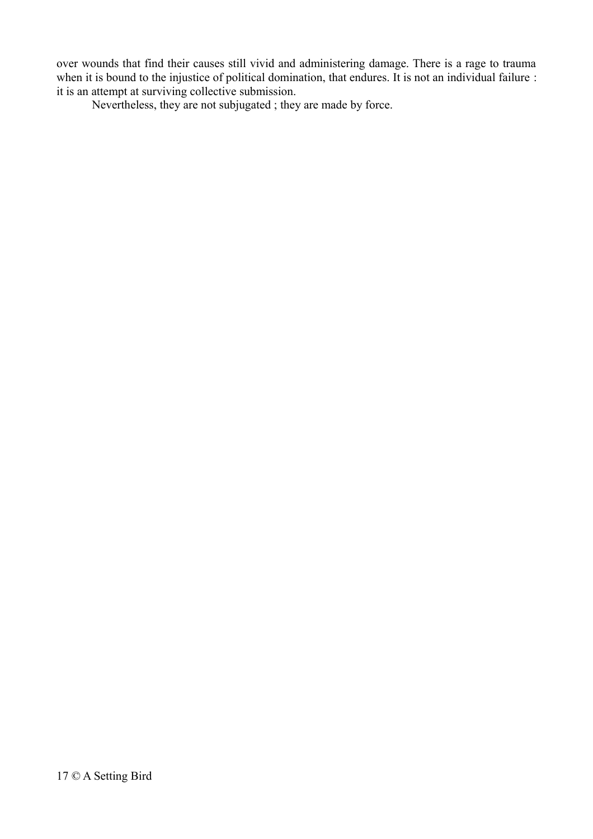over wounds that find their causes still vivid and administering damage. There is a rage to trauma when it is bound to the injustice of political domination, that endures. It is not an individual failure : it is an attempt at surviving collective submission.

Nevertheless, they are not subjugated ; they are made by force.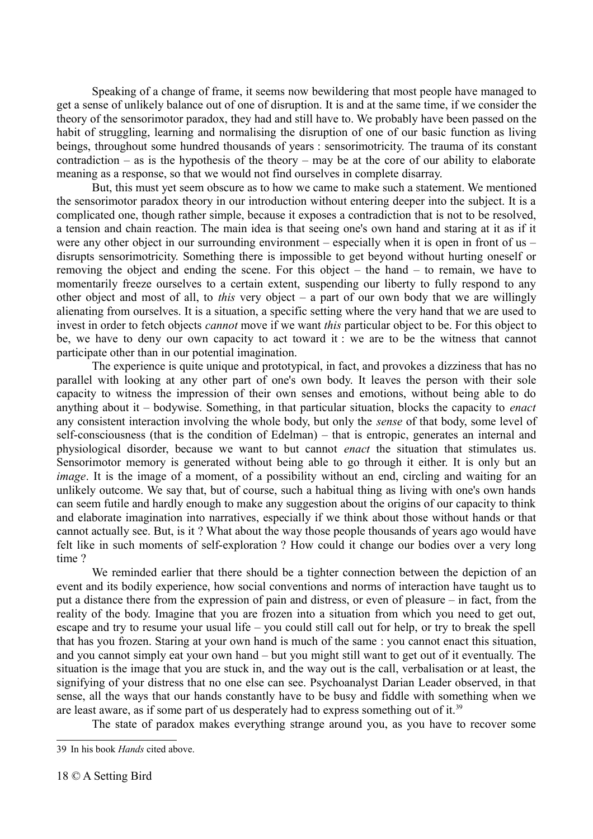Speaking of a change of frame, it seems now bewildering that most people have managed to get a sense of unlikely balance out of one of disruption. It is and at the same time, if we consider the theory of the sensorimotor paradox, they had and still have to. We probably have been passed on the habit of struggling, learning and normalising the disruption of one of our basic function as living beings, throughout some hundred thousands of years : sensorimotricity. The trauma of its constant contradiction – as is the hypothesis of the theory – may be at the core of our ability to elaborate meaning as a response, so that we would not find ourselves in complete disarray.

But, this must yet seem obscure as to how we came to make such a statement. We mentioned the sensorimotor paradox theory in our introduction without entering deeper into the subject. It is a complicated one, though rather simple, because it exposes a contradiction that is not to be resolved, a tension and chain reaction. The main idea is that seeing one's own hand and staring at it as if it were any other object in our surrounding environment – especially when it is open in front of us – disrupts sensorimotricity. Something there is impossible to get beyond without hurting oneself or removing the object and ending the scene. For this object – the hand – to remain, we have to momentarily freeze ourselves to a certain extent, suspending our liberty to fully respond to any other object and most of all, to *this* very object – a part of our own body that we are willingly alienating from ourselves. It is a situation, a specific setting where the very hand that we are used to invest in order to fetch objects *cannot* move if we want *this* particular object to be. For this object to be, we have to deny our own capacity to act toward it : we are to be the witness that cannot participate other than in our potential imagination.

The experience is quite unique and prototypical, in fact, and provokes a dizziness that has no parallel with looking at any other part of one's own body. It leaves the person with their sole capacity to witness the impression of their own senses and emotions, without being able to do anything about it – bodywise. Something, in that particular situation, blocks the capacity to *enact* any consistent interaction involving the whole body, but only the *sense* of that body, some level of self-consciousness (that is the condition of Edelman) – that is entropic, generates an internal and physiological disorder, because we want to but cannot *enact* the situation that stimulates us. Sensorimotor memory is generated without being able to go through it either. It is only but an *image*. It is the image of a moment, of a possibility without an end, circling and waiting for an unlikely outcome. We say that, but of course, such a habitual thing as living with one's own hands can seem futile and hardly enough to make any suggestion about the origins of our capacity to think and elaborate imagination into narratives, especially if we think about those without hands or that cannot actually see. But, is it ? What about the way those people thousands of years ago would have felt like in such moments of self-exploration ? How could it change our bodies over a very long time ?

We reminded earlier that there should be a tighter connection between the depiction of an event and its bodily experience, how social conventions and norms of interaction have taught us to put a distance there from the expression of pain and distress, or even of pleasure – in fact, from the reality of the body. Imagine that you are frozen into a situation from which you need to get out, escape and try to resume your usual life – you could still call out for help, or try to break the spell that has you frozen. Staring at your own hand is much of the same : you cannot enact this situation, and you cannot simply eat your own hand – but you might still want to get out of it eventually. The situation is the image that you are stuck in, and the way out is the call, verbalisation or at least, the signifying of your distress that no one else can see. Psychoanalyst Darian Leader observed, in that sense, all the ways that our hands constantly have to be busy and fiddle with something when we are least aware, as if some part of us desperately had to express something out of it.<sup>[39](#page-17-0)</sup>

The state of paradox makes everything strange around you, as you have to recover some

<span id="page-17-0"></span><sup>39</sup> In his book *Hands* cited above.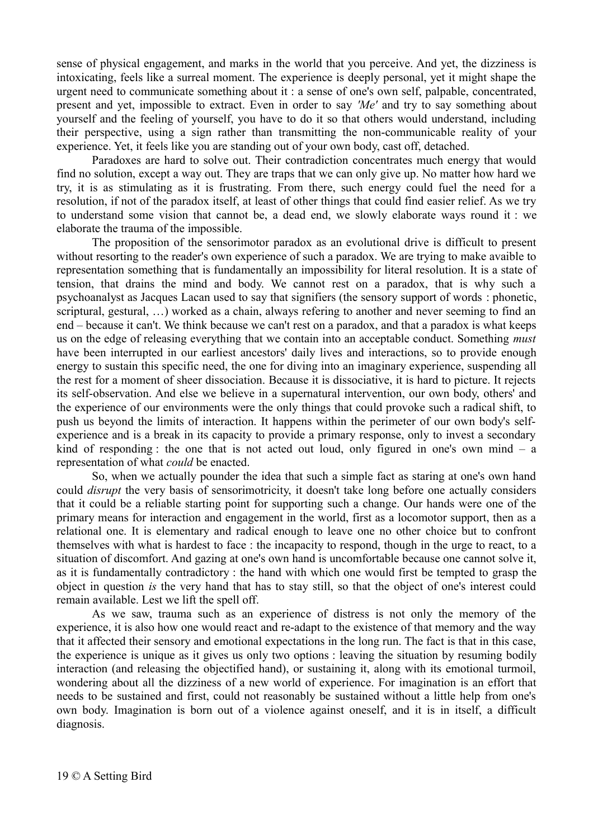sense of physical engagement, and marks in the world that you perceive. And yet, the dizziness is intoxicating, feels like a surreal moment. The experience is deeply personal, yet it might shape the urgent need to communicate something about it : a sense of one's own self, palpable, concentrated, present and yet, impossible to extract. Even in order to say *'Me'* and try to say something about yourself and the feeling of yourself, you have to do it so that others would understand, including their perspective, using a sign rather than transmitting the non-communicable reality of your experience. Yet, it feels like you are standing out of your own body, cast off, detached.

Paradoxes are hard to solve out. Their contradiction concentrates much energy that would find no solution, except a way out. They are traps that we can only give up. No matter how hard we try, it is as stimulating as it is frustrating. From there, such energy could fuel the need for a resolution, if not of the paradox itself, at least of other things that could find easier relief. As we try to understand some vision that cannot be, a dead end, we slowly elaborate ways round it : we elaborate the trauma of the impossible.

The proposition of the sensorimotor paradox as an evolutional drive is difficult to present without resorting to the reader's own experience of such a paradox. We are trying to make avaible to representation something that is fundamentally an impossibility for literal resolution. It is a state of tension, that drains the mind and body. We cannot rest on a paradox, that is why such a psychoanalyst as Jacques Lacan used to say that signifiers (the sensory support of words : phonetic, scriptural, gestural, …) worked as a chain, always refering to another and never seeming to find an end – because it can't. We think because we can't rest on a paradox, and that a paradox is what keeps us on the edge of releasing everything that we contain into an acceptable conduct. Something *must* have been interrupted in our earliest ancestors' daily lives and interactions, so to provide enough energy to sustain this specific need, the one for diving into an imaginary experience, suspending all the rest for a moment of sheer dissociation. Because it is dissociative, it is hard to picture. It rejects its self-observation. And else we believe in a supernatural intervention, our own body, others' and the experience of our environments were the only things that could provoke such a radical shift, to push us beyond the limits of interaction. It happens within the perimeter of our own body's selfexperience and is a break in its capacity to provide a primary response, only to invest a secondary kind of responding : the one that is not acted out loud, only figured in one's own mind – a representation of what *could* be enacted.

So, when we actually pounder the idea that such a simple fact as staring at one's own hand could *disrupt* the very basis of sensorimotricity, it doesn't take long before one actually considers that it could be a reliable starting point for supporting such a change. Our hands were one of the primary means for interaction and engagement in the world, first as a locomotor support, then as a relational one. It is elementary and radical enough to leave one no other choice but to confront themselves with what is hardest to face : the incapacity to respond, though in the urge to react, to a situation of discomfort. And gazing at one's own hand is uncomfortable because one cannot solve it, as it is fundamentally contradictory : the hand with which one would first be tempted to grasp the object in question *is* the very hand that has to stay still, so that the object of one's interest could remain available. Lest we lift the spell off.

As we saw, trauma such as an experience of distress is not only the memory of the experience, it is also how one would react and re-adapt to the existence of that memory and the way that it affected their sensory and emotional expectations in the long run. The fact is that in this case, the experience is unique as it gives us only two options : leaving the situation by resuming bodily interaction (and releasing the objectified hand), or sustaining it, along with its emotional turmoil, wondering about all the dizziness of a new world of experience. For imagination is an effort that needs to be sustained and first, could not reasonably be sustained without a little help from one's own body. Imagination is born out of a violence against oneself, and it is in itself, a difficult diagnosis.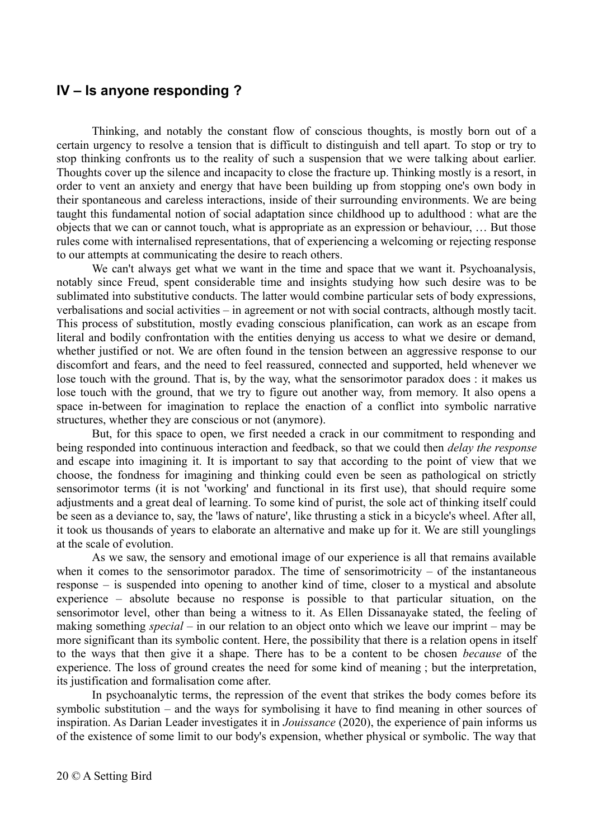### **IV – Is anyone responding ?**

Thinking, and notably the constant flow of conscious thoughts, is mostly born out of a certain urgency to resolve a tension that is difficult to distinguish and tell apart. To stop or try to stop thinking confronts us to the reality of such a suspension that we were talking about earlier. Thoughts cover up the silence and incapacity to close the fracture up. Thinking mostly is a resort, in order to vent an anxiety and energy that have been building up from stopping one's own body in their spontaneous and careless interactions, inside of their surrounding environments. We are being taught this fundamental notion of social adaptation since childhood up to adulthood : what are the objects that we can or cannot touch, what is appropriate as an expression or behaviour, … But those rules come with internalised representations, that of experiencing a welcoming or rejecting response to our attempts at communicating the desire to reach others.

We can't always get what we want in the time and space that we want it. Psychoanalysis, notably since Freud, spent considerable time and insights studying how such desire was to be sublimated into substitutive conducts. The latter would combine particular sets of body expressions, verbalisations and social activities – in agreement or not with social contracts, although mostly tacit. This process of substitution, mostly evading conscious planification, can work as an escape from literal and bodily confrontation with the entities denying us access to what we desire or demand, whether justified or not. We are often found in the tension between an aggressive response to our discomfort and fears, and the need to feel reassured, connected and supported, held whenever we lose touch with the ground. That is, by the way, what the sensorimotor paradox does : it makes us lose touch with the ground, that we try to figure out another way, from memory. It also opens a space in-between for imagination to replace the enaction of a conflict into symbolic narrative structures, whether they are conscious or not (anymore).

But, for this space to open, we first needed a crack in our commitment to responding and being responded into continuous interaction and feedback, so that we could then *delay the response* and escape into imagining it. It is important to say that according to the point of view that we choose, the fondness for imagining and thinking could even be seen as pathological on strictly sensorimotor terms (it is not 'working' and functional in its first use), that should require some adjustments and a great deal of learning. To some kind of purist, the sole act of thinking itself could be seen as a deviance to, say, the 'laws of nature', like thrusting a stick in a bicycle's wheel. After all, it took us thousands of years to elaborate an alternative and make up for it. We are still younglings at the scale of evolution.

As we saw, the sensory and emotional image of our experience is all that remains available when it comes to the sensorimotor paradox. The time of sensorimotricity  $-$  of the instantaneous response – is suspended into opening to another kind of time, closer to a mystical and absolute experience – absolute because no response is possible to that particular situation, on the sensorimotor level, other than being a witness to it. As Ellen Dissanayake stated, the feeling of making something *special* – in our relation to an object onto which we leave our imprint – may be more significant than its symbolic content. Here, the possibility that there is a relation opens in itself to the ways that then give it a shape. There has to be a content to be chosen *because* of the experience. The loss of ground creates the need for some kind of meaning ; but the interpretation, its justification and formalisation come after.

In psychoanalytic terms, the repression of the event that strikes the body comes before its symbolic substitution – and the ways for symbolising it have to find meaning in other sources of inspiration. As Darian Leader investigates it in *Jouissance* (2020), the experience of pain informs us of the existence of some limit to our body's expension, whether physical or symbolic. The way that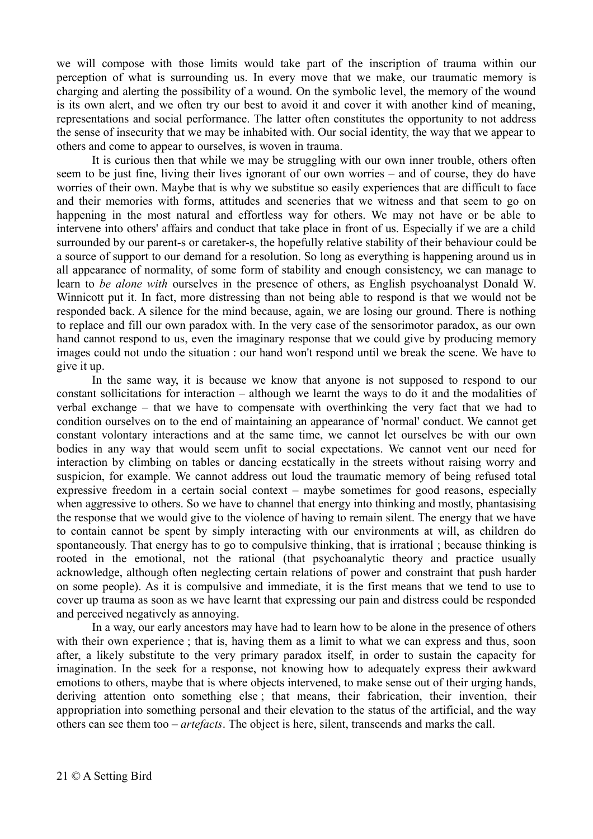we will compose with those limits would take part of the inscription of trauma within our perception of what is surrounding us. In every move that we make, our traumatic memory is charging and alerting the possibility of a wound. On the symbolic level, the memory of the wound is its own alert, and we often try our best to avoid it and cover it with another kind of meaning, representations and social performance. The latter often constitutes the opportunity to not address the sense of insecurity that we may be inhabited with. Our social identity, the way that we appear to others and come to appear to ourselves, is woven in trauma.

It is curious then that while we may be struggling with our own inner trouble, others often seem to be just fine, living their lives ignorant of our own worries – and of course, they do have worries of their own. Maybe that is why we substitue so easily experiences that are difficult to face and their memories with forms, attitudes and sceneries that we witness and that seem to go on happening in the most natural and effortless way for others. We may not have or be able to intervene into others' affairs and conduct that take place in front of us. Especially if we are a child surrounded by our parent-s or caretaker-s, the hopefully relative stability of their behaviour could be a source of support to our demand for a resolution. So long as everything is happening around us in all appearance of normality, of some form of stability and enough consistency, we can manage to learn to *be alone with* ourselves in the presence of others, as English psychoanalyst Donald W. Winnicott put it. In fact, more distressing than not being able to respond is that we would not be responded back. A silence for the mind because, again, we are losing our ground. There is nothing to replace and fill our own paradox with. In the very case of the sensorimotor paradox, as our own hand cannot respond to us, even the imaginary response that we could give by producing memory images could not undo the situation : our hand won't respond until we break the scene. We have to give it up.

In the same way, it is because we know that anyone is not supposed to respond to our constant sollicitations for interaction – although we learnt the ways to do it and the modalities of verbal exchange – that we have to compensate with overthinking the very fact that we had to condition ourselves on to the end of maintaining an appearance of 'normal' conduct. We cannot get constant volontary interactions and at the same time, we cannot let ourselves be with our own bodies in any way that would seem unfit to social expectations. We cannot vent our need for interaction by climbing on tables or dancing ecstatically in the streets without raising worry and suspicion, for example. We cannot address out loud the traumatic memory of being refused total expressive freedom in a certain social context – maybe sometimes for good reasons, especially when aggressive to others. So we have to channel that energy into thinking and mostly, phantasising the response that we would give to the violence of having to remain silent. The energy that we have to contain cannot be spent by simply interacting with our environments at will, as children do spontaneously. That energy has to go to compulsive thinking, that is irrational ; because thinking is rooted in the emotional, not the rational (that psychoanalytic theory and practice usually acknowledge, although often neglecting certain relations of power and constraint that push harder on some people). As it is compulsive and immediate, it is the first means that we tend to use to cover up trauma as soon as we have learnt that expressing our pain and distress could be responded and perceived negatively as annoying.

In a way, our early ancestors may have had to learn how to be alone in the presence of others with their own experience; that is, having them as a limit to what we can express and thus, soon after, a likely substitute to the very primary paradox itself, in order to sustain the capacity for imagination. In the seek for a response, not knowing how to adequately express their awkward emotions to others, maybe that is where objects intervened, to make sense out of their urging hands, deriving attention onto something else ; that means, their fabrication, their invention, their appropriation into something personal and their elevation to the status of the artificial, and the way others can see them too – *artefacts*. The object is here, silent, transcends and marks the call.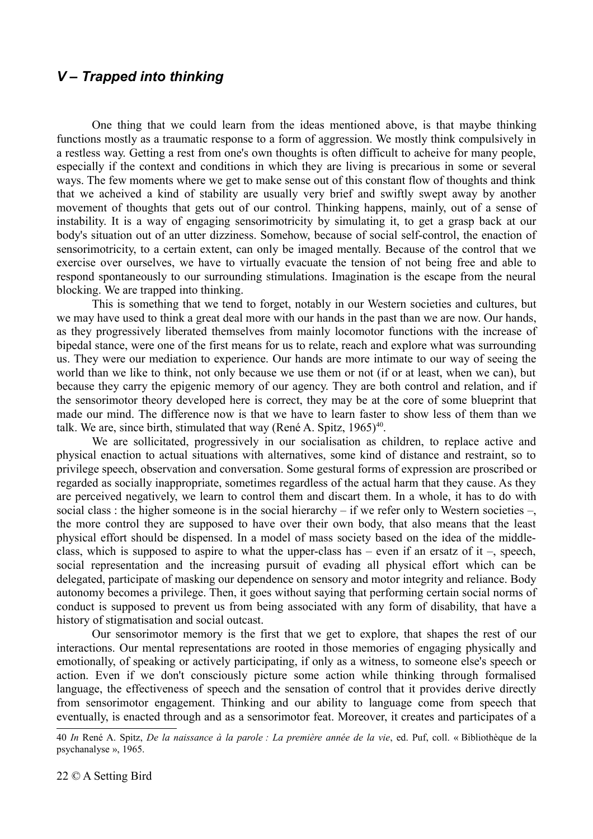### *V – Trapped into thinking*

One thing that we could learn from the ideas mentioned above, is that maybe thinking functions mostly as a traumatic response to a form of aggression. We mostly think compulsively in a restless way. Getting a rest from one's own thoughts is often difficult to acheive for many people, especially if the context and conditions in which they are living is precarious in some or several ways. The few moments where we get to make sense out of this constant flow of thoughts and think that we acheived a kind of stability are usually very brief and swiftly swept away by another movement of thoughts that gets out of our control. Thinking happens, mainly, out of a sense of instability. It is a way of engaging sensorimotricity by simulating it, to get a grasp back at our body's situation out of an utter dizziness. Somehow, because of social self-control, the enaction of sensorimotricity, to a certain extent, can only be imaged mentally. Because of the control that we exercise over ourselves, we have to virtually evacuate the tension of not being free and able to respond spontaneously to our surrounding stimulations. Imagination is the escape from the neural blocking. We are trapped into thinking.

This is something that we tend to forget, notably in our Western societies and cultures, but we may have used to think a great deal more with our hands in the past than we are now. Our hands, as they progressively liberated themselves from mainly locomotor functions with the increase of bipedal stance, were one of the first means for us to relate, reach and explore what was surrounding us. They were our mediation to experience. Our hands are more intimate to our way of seeing the world than we like to think, not only because we use them or not (if or at least, when we can), but because they carry the epigenic memory of our agency. They are both control and relation, and if the sensorimotor theory developed here is correct, they may be at the core of some blueprint that made our mind. The difference now is that we have to learn faster to show less of them than we talk. We are, since birth, stimulated that way (René A. Spitz,  $1965)^{40}$  $1965)^{40}$  $1965)^{40}$ .

We are sollicitated, progressively in our socialisation as children, to replace active and physical enaction to actual situations with alternatives, some kind of distance and restraint, so to privilege speech, observation and conversation. Some gestural forms of expression are proscribed or regarded as socially inappropriate, sometimes regardless of the actual harm that they cause. As they are perceived negatively, we learn to control them and discart them. In a whole, it has to do with social class : the higher someone is in the social hierarchy – if we refer only to Western societies –, the more control they are supposed to have over their own body, that also means that the least physical effort should be dispensed. In a model of mass society based on the idea of the middleclass, which is supposed to aspire to what the upper-class has – even if an ersatz of it –, speech, social representation and the increasing pursuit of evading all physical effort which can be delegated, participate of masking our dependence on sensory and motor integrity and reliance. Body autonomy becomes a privilege. Then, it goes without saying that performing certain social norms of conduct is supposed to prevent us from being associated with any form of disability, that have a history of stigmatisation and social outcast.

Our sensorimotor memory is the first that we get to explore, that shapes the rest of our interactions. Our mental representations are rooted in those memories of engaging physically and emotionally, of speaking or actively participating, if only as a witness, to someone else's speech or action. Even if we don't consciously picture some action while thinking through formalised language, the effectiveness of speech and the sensation of control that it provides derive directly from sensorimotor engagement. Thinking and our ability to language come from speech that eventually, is enacted through and as a sensorimotor feat. Moreover, it creates and participates of a

<span id="page-21-0"></span><sup>40</sup> *In* René A. Spitz, *De la naissance à la parole : La première année de la vie*, ed. Puf, coll. « Bibliothèque de la psychanalyse », 1965.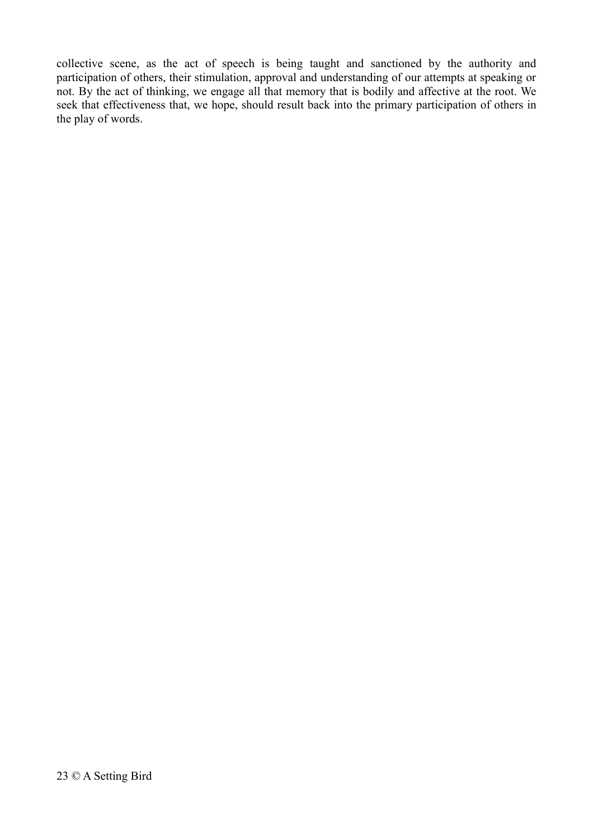collective scene, as the act of speech is being taught and sanctioned by the authority and participation of others, their stimulation, approval and understanding of our attempts at speaking or not. By the act of thinking, we engage all that memory that is bodily and affective at the root. We seek that effectiveness that, we hope, should result back into the primary participation of others in the play of words.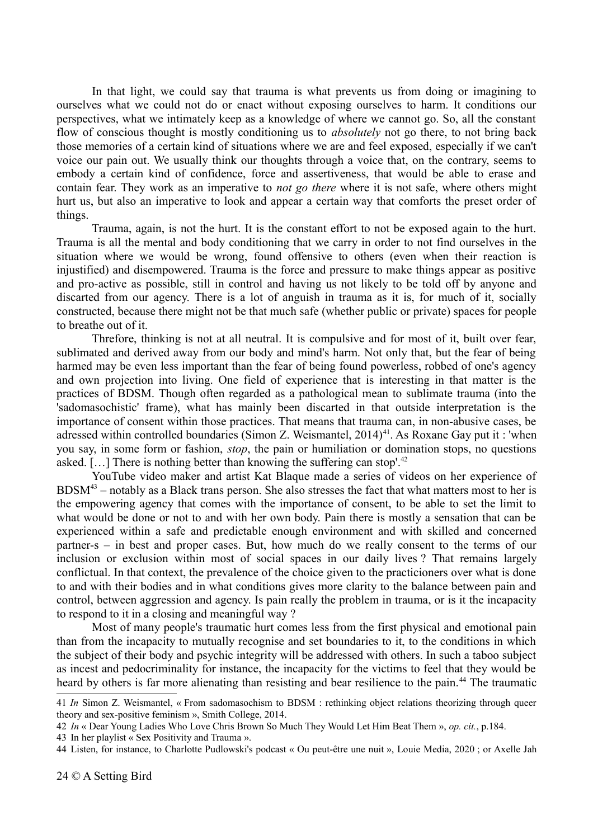In that light, we could say that trauma is what prevents us from doing or imagining to ourselves what we could not do or enact without exposing ourselves to harm. It conditions our perspectives, what we intimately keep as a knowledge of where we cannot go. So, all the constant flow of conscious thought is mostly conditioning us to *absolutely* not go there, to not bring back those memories of a certain kind of situations where we are and feel exposed, especially if we can't voice our pain out. We usually think our thoughts through a voice that, on the contrary, seems to embody a certain kind of confidence, force and assertiveness, that would be able to erase and contain fear. They work as an imperative to *not go there* where it is not safe, where others might hurt us, but also an imperative to look and appear a certain way that comforts the preset order of things.

Trauma, again, is not the hurt. It is the constant effort to not be exposed again to the hurt. Trauma is all the mental and body conditioning that we carry in order to not find ourselves in the situation where we would be wrong, found offensive to others (even when their reaction is injustified) and disempowered. Trauma is the force and pressure to make things appear as positive and pro-active as possible, still in control and having us not likely to be told off by anyone and discarted from our agency. There is a lot of anguish in trauma as it is, for much of it, socially constructed, because there might not be that much safe (whether public or private) spaces for people to breathe out of it.

Threfore, thinking is not at all neutral. It is compulsive and for most of it, built over fear, sublimated and derived away from our body and mind's harm. Not only that, but the fear of being harmed may be even less important than the fear of being found powerless, robbed of one's agency and own projection into living. One field of experience that is interesting in that matter is the practices of BDSM. Though often regarded as a pathological mean to sublimate trauma (into the 'sadomasochistic' frame), what has mainly been discarted in that outside interpretation is the importance of consent within those practices. That means that trauma can, in non-abusive cases, be adressed within controlled boundaries (Simon Z. Weismantel,  $2014$ )<sup>[41](#page-23-0)</sup>. As Roxane Gay put it : 'when you say, in some form or fashion, *stop*, the pain or humiliation or domination stops, no questions asked. [...] There is nothing better than knowing the suffering can stop'.<sup>[42](#page-23-1)</sup>

YouTube video maker and artist Kat Blaque made a series of videos on her experience of  $BDSM<sup>43</sup>$  $BDSM<sup>43</sup>$  $BDSM<sup>43</sup>$  – notably as a Black trans person. She also stresses the fact that what matters most to her is the empowering agency that comes with the importance of consent, to be able to set the limit to what would be done or not to and with her own body. Pain there is mostly a sensation that can be experienced within a safe and predictable enough environment and with skilled and concerned partner-s – in best and proper cases. But, how much do we really consent to the terms of our inclusion or exclusion within most of social spaces in our daily lives ? That remains largely conflictual. In that context, the prevalence of the choice given to the practicioners over what is done to and with their bodies and in what conditions gives more clarity to the balance between pain and control, between aggression and agency. Is pain really the problem in trauma, or is it the incapacity to respond to it in a closing and meaningful way ?

Most of many people's traumatic hurt comes less from the first physical and emotional pain than from the incapacity to mutually recognise and set boundaries to it, to the conditions in which the subject of their body and psychic integrity will be addressed with others. In such a taboo subject as incest and pedocriminality for instance, the incapacity for the victims to feel that they would be heard by others is far more alienating than resisting and bear resilience to the pain.<sup>[44](#page-23-3)</sup> The traumatic

<span id="page-23-0"></span><sup>41</sup> *In* Simon Z. Weismantel, « From sadomasochism to BDSM : rethinking object relations theorizing through queer theory and sex-positive feminism », Smith College, 2014.

<span id="page-23-1"></span><sup>42</sup> *In* « Dear Young Ladies Who Love Chris Brown So Much They Would Let Him Beat Them », *op. cit.*, p.184.

<span id="page-23-2"></span><sup>43</sup> In her playlist « Sex Positivity and Trauma ».

<span id="page-23-3"></span><sup>44</sup> Listen, for instance, to Charlotte Pudlowski's podcast « Ou peut-être une nuit », Louie Media, 2020 ; or Axelle Jah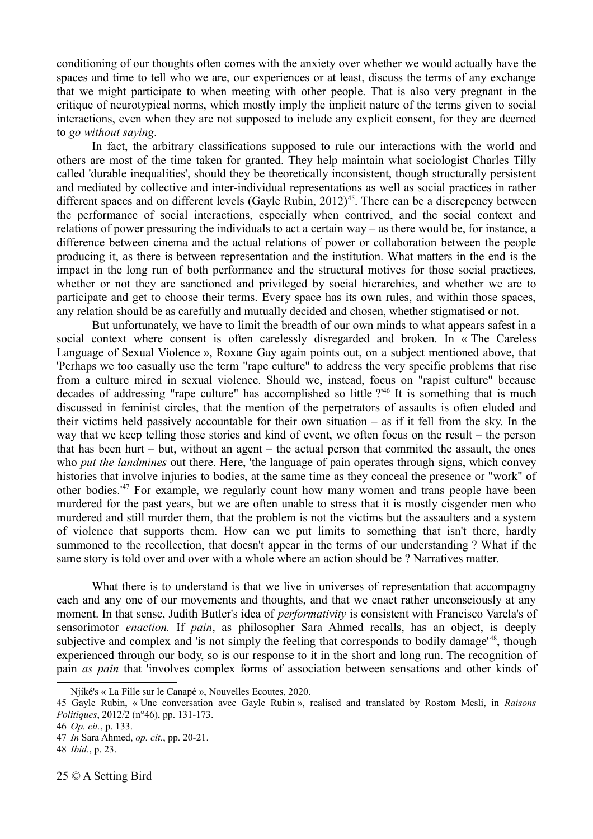conditioning of our thoughts often comes with the anxiety over whether we would actually have the spaces and time to tell who we are, our experiences or at least, discuss the terms of any exchange that we might participate to when meeting with other people. That is also very pregnant in the critique of neurotypical norms, which mostly imply the implicit nature of the terms given to social interactions, even when they are not supposed to include any explicit consent, for they are deemed to *go without saying*.

In fact, the arbitrary classifications supposed to rule our interactions with the world and others are most of the time taken for granted. They help maintain what sociologist Charles Tilly called 'durable inequalities', should they be theoretically inconsistent, though structurally persistent and mediated by collective and inter-individual representations as well as social practices in rather different spaces and on different levels (Gayle Rubin, 2012)<sup>[45](#page-24-0)</sup>. There can be a discrepency between the performance of social interactions, especially when contrived, and the social context and relations of power pressuring the individuals to act a certain way – as there would be, for instance, a difference between cinema and the actual relations of power or collaboration between the people producing it, as there is between representation and the institution. What matters in the end is the impact in the long run of both performance and the structural motives for those social practices, whether or not they are sanctioned and privileged by social hierarchies, and whether we are to participate and get to choose their terms. Every space has its own rules, and within those spaces, any relation should be as carefully and mutually decided and chosen, whether stigmatised or not.

But unfortunately, we have to limit the breadth of our own minds to what appears safest in a social context where consent is often carelessly disregarded and broken. In « The Careless Language of Sexual Violence », Roxane Gay again points out, on a subject mentioned above, that 'Perhaps we too casually use the term "rape culture" to address the very specific problems that rise from a culture mired in sexual violence. Should we, instead, focus on "rapist culture" because decades of addressing "rape culture" has accomplished so little ?<sup>[46](#page-24-1)</sup> It is something that is much discussed in feminist circles, that the mention of the perpetrators of assaults is often eluded and their victims held passively accountable for their own situation – as if it fell from the sky. In the way that we keep telling those stories and kind of event, we often focus on the result – the person that has been hurt – but, without an agent – the actual person that commited the assault, the ones who *put the landmines* out there. Here, 'the language of pain operates through signs, which convey histories that involve injuries to bodies, at the same time as they conceal the presence or "work" of other bodies.'[47](#page-24-2) For example, we regularly count how many women and trans people have been murdered for the past years, but we are often unable to stress that it is mostly cisgender men who murdered and still murder them, that the problem is not the victims but the assaulters and a system of violence that supports them. How can we put limits to something that isn't there, hardly summoned to the recollection, that doesn't appear in the terms of our understanding ? What if the same story is told over and over with a whole where an action should be ? Narratives matter.

What there is to understand is that we live in universes of representation that accompagny each and any one of our movements and thoughts, and that we enact rather unconsciously at any moment. In that sense, Judith Butler's idea of *performativity* is consistent with Francisco Varela's of sensorimotor *enaction.* If *pain*, as philosopher Sara Ahmed recalls, has an object, is deeply subjective and complex and 'is not simply the feeling that corresponds to bodily damage<sup>1[48](#page-24-3)</sup>, though experienced through our body, so is our response to it in the short and long run. The recognition of pain *as pain* that 'involves complex forms of association between sensations and other kinds of

Njiké's « La Fille sur le Canapé », Nouvelles Ecoutes, 2020.

<span id="page-24-0"></span><sup>45</sup> Gayle Rubin, « Une conversation avec Gayle Rubin », realised and translated by Rostom Mesli, in *Raisons Politiques*, 2012/2 (n°46), pp. 131-173.

<span id="page-24-1"></span><sup>46</sup> *Op. cit.*, p. 133.

<span id="page-24-2"></span><sup>47</sup> *In* Sara Ahmed, *op. cit.*, pp. 20-21.

<span id="page-24-3"></span><sup>48</sup> *Ibid.*, p. 23.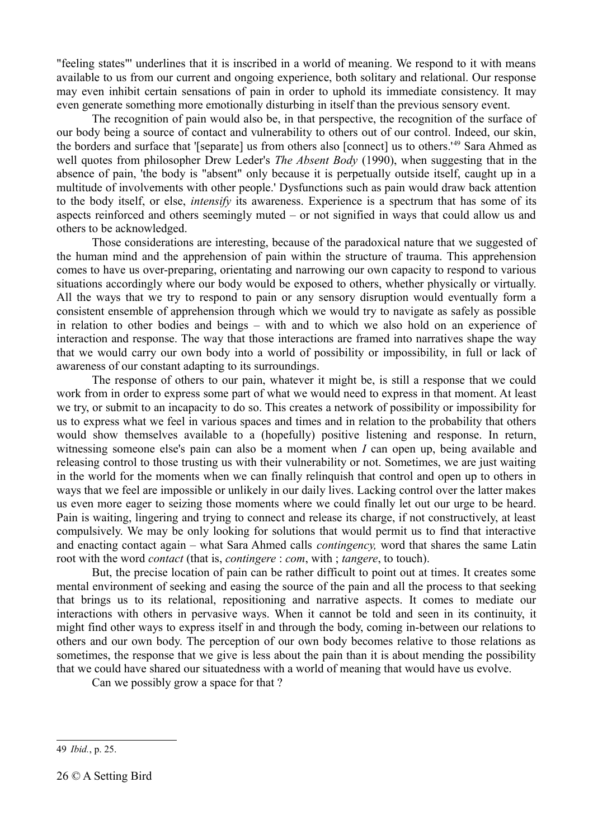"feeling states"' underlines that it is inscribed in a world of meaning. We respond to it with means available to us from our current and ongoing experience, both solitary and relational. Our response may even inhibit certain sensations of pain in order to uphold its immediate consistency. It may even generate something more emotionally disturbing in itself than the previous sensory event.

The recognition of pain would also be, in that perspective, the recognition of the surface of our body being a source of contact and vulnerability to others out of our control. Indeed, our skin, the borders and surface that '[separate] us from others also [connect] us to others.'[49](#page-25-0) Sara Ahmed as well quotes from philosopher Drew Leder's *The Absent Body* (1990), when suggesting that in the absence of pain, 'the body is "absent" only because it is perpetually outside itself, caught up in a multitude of involvements with other people.' Dysfunctions such as pain would draw back attention to the body itself, or else, *intensify* its awareness. Experience is a spectrum that has some of its aspects reinforced and others seemingly muted – or not signified in ways that could allow us and others to be acknowledged.

Those considerations are interesting, because of the paradoxical nature that we suggested of the human mind and the apprehension of pain within the structure of trauma. This apprehension comes to have us over-preparing, orientating and narrowing our own capacity to respond to various situations accordingly where our body would be exposed to others, whether physically or virtually. All the ways that we try to respond to pain or any sensory disruption would eventually form a consistent ensemble of apprehension through which we would try to navigate as safely as possible in relation to other bodies and beings – with and to which we also hold on an experience of interaction and response. The way that those interactions are framed into narratives shape the way that we would carry our own body into a world of possibility or impossibility, in full or lack of awareness of our constant adapting to its surroundings.

The response of others to our pain, whatever it might be, is still a response that we could work from in order to express some part of what we would need to express in that moment. At least we try, or submit to an incapacity to do so. This creates a network of possibility or impossibility for us to express what we feel in various spaces and times and in relation to the probability that others would show themselves available to a (hopefully) positive listening and response. In return, witnessing someone else's pain can also be a moment when *I* can open up, being available and releasing control to those trusting us with their vulnerability or not. Sometimes, we are just waiting in the world for the moments when we can finally relinquish that control and open up to others in ways that we feel are impossible or unlikely in our daily lives. Lacking control over the latter makes us even more eager to seizing those moments where we could finally let out our urge to be heard. Pain is waiting, lingering and trying to connect and release its charge, if not constructively, at least compulsively. We may be only looking for solutions that would permit us to find that interactive and enacting contact again – what Sara Ahmed calls *contingency,* word that shares the same Latin root with the word *contact* (that is, *contingere* : *com*, with ; *tangere*, to touch).

But, the precise location of pain can be rather difficult to point out at times. It creates some mental environment of seeking and easing the source of the pain and all the process to that seeking that brings us to its relational, repositioning and narrative aspects. It comes to mediate our interactions with others in pervasive ways. When it cannot be told and seen in its continuity, it might find other ways to express itself in and through the body, coming in-between our relations to others and our own body. The perception of our own body becomes relative to those relations as sometimes, the response that we give is less about the pain than it is about mending the possibility that we could have shared our situatedness with a world of meaning that would have us evolve.

Can we possibly grow a space for that ?

<span id="page-25-0"></span><sup>49</sup> *Ibid.*, p. 25.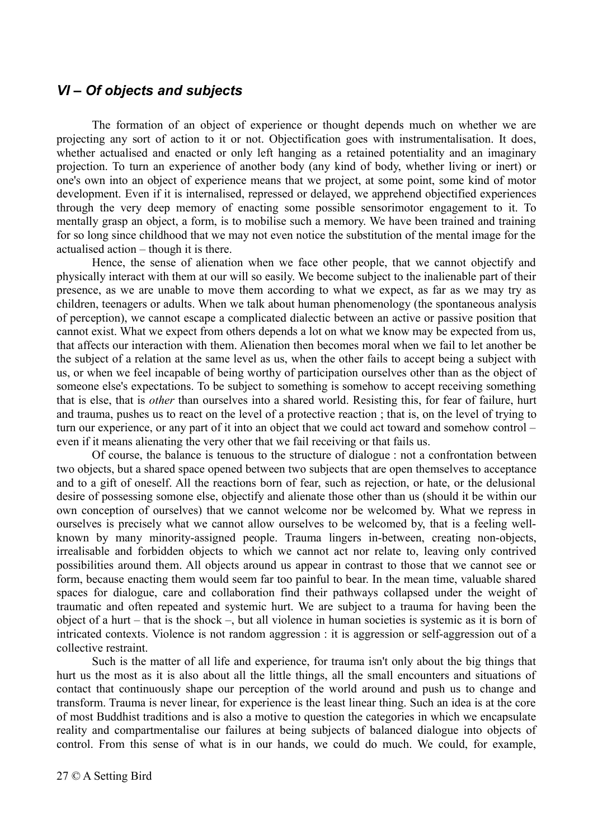#### *VI – Of objects and subjects*

The formation of an object of experience or thought depends much on whether we are projecting any sort of action to it or not. Objectification goes with instrumentalisation. It does, whether actualised and enacted or only left hanging as a retained potentiality and an imaginary projection. To turn an experience of another body (any kind of body, whether living or inert) or one's own into an object of experience means that we project, at some point, some kind of motor development. Even if it is internalised, repressed or delayed, we apprehend objectified experiences through the very deep memory of enacting some possible sensorimotor engagement to it. To mentally grasp an object, a form, is to mobilise such a memory. We have been trained and training for so long since childhood that we may not even notice the substitution of the mental image for the actualised action – though it is there.

Hence, the sense of alienation when we face other people, that we cannot objectify and physically interact with them at our will so easily. We become subject to the inalienable part of their presence, as we are unable to move them according to what we expect, as far as we may try as children, teenagers or adults. When we talk about human phenomenology (the spontaneous analysis of perception), we cannot escape a complicated dialectic between an active or passive position that cannot exist. What we expect from others depends a lot on what we know may be expected from us, that affects our interaction with them. Alienation then becomes moral when we fail to let another be the subject of a relation at the same level as us, when the other fails to accept being a subject with us, or when we feel incapable of being worthy of participation ourselves other than as the object of someone else's expectations. To be subject to something is somehow to accept receiving something that is else, that is *other* than ourselves into a shared world. Resisting this, for fear of failure, hurt and trauma, pushes us to react on the level of a protective reaction ; that is, on the level of trying to turn our experience, or any part of it into an object that we could act toward and somehow control – even if it means alienating the very other that we fail receiving or that fails us.

Of course, the balance is tenuous to the structure of dialogue : not a confrontation between two objects, but a shared space opened between two subjects that are open themselves to acceptance and to a gift of oneself. All the reactions born of fear, such as rejection, or hate, or the delusional desire of possessing somone else, objectify and alienate those other than us (should it be within our own conception of ourselves) that we cannot welcome nor be welcomed by. What we repress in ourselves is precisely what we cannot allow ourselves to be welcomed by, that is a feeling wellknown by many minority-assigned people. Trauma lingers in-between, creating non-objects, irrealisable and forbidden objects to which we cannot act nor relate to, leaving only contrived possibilities around them. All objects around us appear in contrast to those that we cannot see or form, because enacting them would seem far too painful to bear. In the mean time, valuable shared spaces for dialogue, care and collaboration find their pathways collapsed under the weight of traumatic and often repeated and systemic hurt. We are subject to a trauma for having been the object of a hurt – that is the shock –, but all violence in human societies is systemic as it is born of intricated contexts. Violence is not random aggression : it is aggression or self-aggression out of a collective restraint.

Such is the matter of all life and experience, for trauma isn't only about the big things that hurt us the most as it is also about all the little things, all the small encounters and situations of contact that continuously shape our perception of the world around and push us to change and transform. Trauma is never linear, for experience is the least linear thing. Such an idea is at the core of most Buddhist traditions and is also a motive to question the categories in which we encapsulate reality and compartmentalise our failures at being subjects of balanced dialogue into objects of control. From this sense of what is in our hands, we could do much. We could, for example,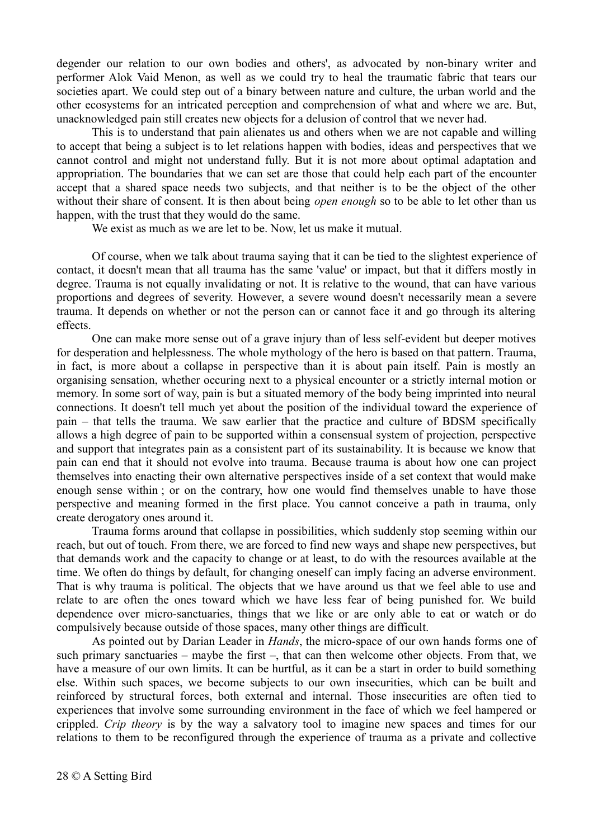degender our relation to our own bodies and others', as advocated by non-binary writer and performer Alok Vaid Menon, as well as we could try to heal the traumatic fabric that tears our societies apart. We could step out of a binary between nature and culture, the urban world and the other ecosystems for an intricated perception and comprehension of what and where we are. But, unacknowledged pain still creates new objects for a delusion of control that we never had.

This is to understand that pain alienates us and others when we are not capable and willing to accept that being a subject is to let relations happen with bodies, ideas and perspectives that we cannot control and might not understand fully. But it is not more about optimal adaptation and appropriation. The boundaries that we can set are those that could help each part of the encounter accept that a shared space needs two subjects, and that neither is to be the object of the other without their share of consent. It is then about being *open enough* so to be able to let other than us happen, with the trust that they would do the same.

We exist as much as we are let to be. Now, let us make it mutual.

Of course, when we talk about trauma saying that it can be tied to the slightest experience of contact, it doesn't mean that all trauma has the same 'value' or impact, but that it differs mostly in degree. Trauma is not equally invalidating or not. It is relative to the wound, that can have various proportions and degrees of severity. However, a severe wound doesn't necessarily mean a severe trauma. It depends on whether or not the person can or cannot face it and go through its altering effects.

One can make more sense out of a grave injury than of less self-evident but deeper motives for desperation and helplessness. The whole mythology of the hero is based on that pattern. Trauma, in fact, is more about a collapse in perspective than it is about pain itself. Pain is mostly an organising sensation, whether occuring next to a physical encounter or a strictly internal motion or memory. In some sort of way, pain is but a situated memory of the body being imprinted into neural connections. It doesn't tell much yet about the position of the individual toward the experience of pain – that tells the trauma. We saw earlier that the practice and culture of BDSM specifically allows a high degree of pain to be supported within a consensual system of projection, perspective and support that integrates pain as a consistent part of its sustainability. It is because we know that pain can end that it should not evolve into trauma. Because trauma is about how one can project themselves into enacting their own alternative perspectives inside of a set context that would make enough sense within ; or on the contrary, how one would find themselves unable to have those perspective and meaning formed in the first place. You cannot conceive a path in trauma, only create derogatory ones around it.

Trauma forms around that collapse in possibilities, which suddenly stop seeming within our reach, but out of touch. From there, we are forced to find new ways and shape new perspectives, but that demands work and the capacity to change or at least, to do with the resources available at the time. We often do things by default, for changing oneself can imply facing an adverse environment. That is why trauma is political. The objects that we have around us that we feel able to use and relate to are often the ones toward which we have less fear of being punished for. We build dependence over micro-sanctuaries, things that we like or are only able to eat or watch or do compulsively because outside of those spaces, many other things are difficult.

As pointed out by Darian Leader in *Hands*, the micro-space of our own hands forms one of such primary sanctuaries – maybe the first –, that can then welcome other objects. From that, we have a measure of our own limits. It can be hurtful, as it can be a start in order to build something else. Within such spaces, we become subjects to our own insecurities, which can be built and reinforced by structural forces, both external and internal. Those insecurities are often tied to experiences that involve some surrounding environment in the face of which we feel hampered or crippled. *Crip theory* is by the way a salvatory tool to imagine new spaces and times for our relations to them to be reconfigured through the experience of trauma as a private and collective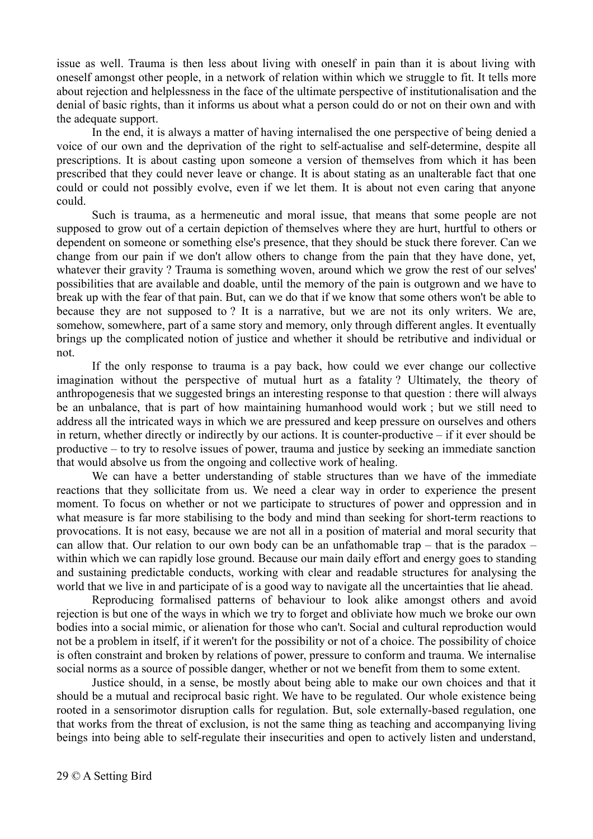issue as well. Trauma is then less about living with oneself in pain than it is about living with oneself amongst other people, in a network of relation within which we struggle to fit. It tells more about rejection and helplessness in the face of the ultimate perspective of institutionalisation and the denial of basic rights, than it informs us about what a person could do or not on their own and with the adequate support.

In the end, it is always a matter of having internalised the one perspective of being denied a voice of our own and the deprivation of the right to self-actualise and self-determine, despite all prescriptions. It is about casting upon someone a version of themselves from which it has been prescribed that they could never leave or change. It is about stating as an unalterable fact that one could or could not possibly evolve, even if we let them. It is about not even caring that anyone could.

Such is trauma, as a hermeneutic and moral issue, that means that some people are not supposed to grow out of a certain depiction of themselves where they are hurt, hurtful to others or dependent on someone or something else's presence, that they should be stuck there forever. Can we change from our pain if we don't allow others to change from the pain that they have done, yet, whatever their gravity ? Trauma is something woven, around which we grow the rest of our selves' possibilities that are available and doable, until the memory of the pain is outgrown and we have to break up with the fear of that pain. But, can we do that if we know that some others won't be able to because they are not supposed to ? It is a narrative, but we are not its only writers. We are, somehow, somewhere, part of a same story and memory, only through different angles. It eventually brings up the complicated notion of justice and whether it should be retributive and individual or not.

If the only response to trauma is a pay back, how could we ever change our collective imagination without the perspective of mutual hurt as a fatality ? Ultimately, the theory of anthropogenesis that we suggested brings an interesting response to that question : there will always be an unbalance, that is part of how maintaining humanhood would work ; but we still need to address all the intricated ways in which we are pressured and keep pressure on ourselves and others in return, whether directly or indirectly by our actions. It is counter-productive – if it ever should be productive – to try to resolve issues of power, trauma and justice by seeking an immediate sanction that would absolve us from the ongoing and collective work of healing.

We can have a better understanding of stable structures than we have of the immediate reactions that they sollicitate from us. We need a clear way in order to experience the present moment. To focus on whether or not we participate to structures of power and oppression and in what measure is far more stabilising to the body and mind than seeking for short-term reactions to provocations. It is not easy, because we are not all in a position of material and moral security that can allow that. Our relation to our own body can be an unfathomable trap – that is the paradox – within which we can rapidly lose ground. Because our main daily effort and energy goes to standing and sustaining predictable conducts, working with clear and readable structures for analysing the world that we live in and participate of is a good way to navigate all the uncertainties that lie ahead.

Reproducing formalised patterns of behaviour to look alike amongst others and avoid rejection is but one of the ways in which we try to forget and obliviate how much we broke our own bodies into a social mimic, or alienation for those who can't. Social and cultural reproduction would not be a problem in itself, if it weren't for the possibility or not of a choice. The possibility of choice is often constraint and broken by relations of power, pressure to conform and trauma. We internalise social norms as a source of possible danger, whether or not we benefit from them to some extent.

Justice should, in a sense, be mostly about being able to make our own choices and that it should be a mutual and reciprocal basic right. We have to be regulated. Our whole existence being rooted in a sensorimotor disruption calls for regulation. But, sole externally-based regulation, one that works from the threat of exclusion, is not the same thing as teaching and accompanying living beings into being able to self-regulate their insecurities and open to actively listen and understand,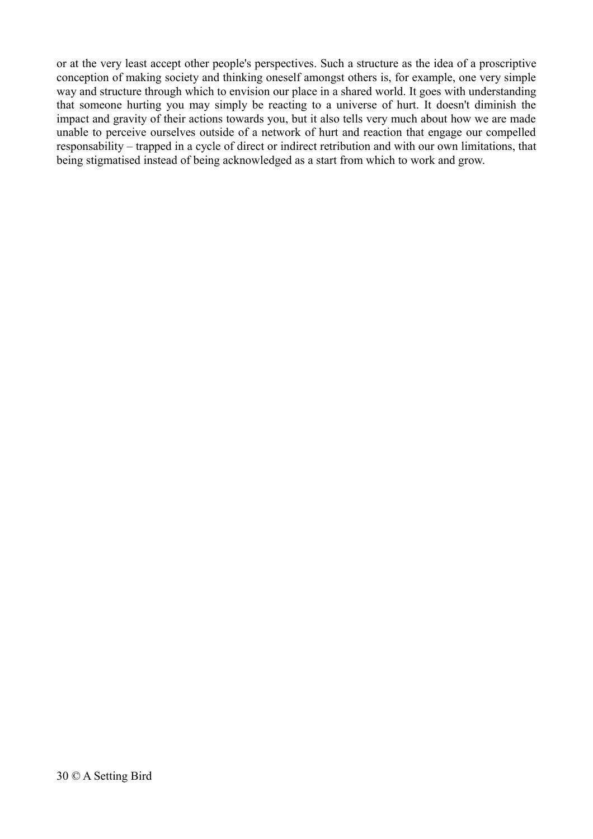or at the very least accept other people's perspectives. Such a structure as the idea of a proscriptive conception of making society and thinking oneself amongst others is, for example, one very simple way and structure through which to envision our place in a shared world. It goes with understanding that someone hurting you may simply be reacting to a universe of hurt. It doesn't diminish the impact and gravity of their actions towards you, but it also tells very much about how we are made unable to perceive ourselves outside of a network of hurt and reaction that engage our compelled responsability – trapped in a cycle of direct or indirect retribution and with our own limitations, that being stigmatised instead of being acknowledged as a start from which to work and grow.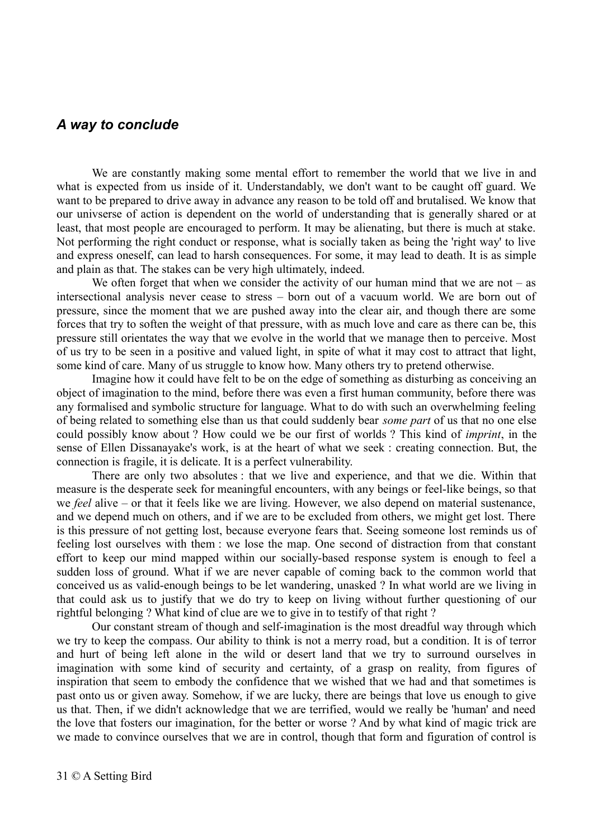#### *A way to conclude*

We are constantly making some mental effort to remember the world that we live in and what is expected from us inside of it. Understandably, we don't want to be caught off guard. We want to be prepared to drive away in advance any reason to be told off and brutalised. We know that our univserse of action is dependent on the world of understanding that is generally shared or at least, that most people are encouraged to perform. It may be alienating, but there is much at stake. Not performing the right conduct or response, what is socially taken as being the 'right way' to live and express oneself, can lead to harsh consequences. For some, it may lead to death. It is as simple and plain as that. The stakes can be very high ultimately, indeed.

We often forget that when we consider the activity of our human mind that we are not – as intersectional analysis never cease to stress – born out of a vacuum world. We are born out of pressure, since the moment that we are pushed away into the clear air, and though there are some forces that try to soften the weight of that pressure, with as much love and care as there can be, this pressure still orientates the way that we evolve in the world that we manage then to perceive. Most of us try to be seen in a positive and valued light, in spite of what it may cost to attract that light, some kind of care. Many of us struggle to know how. Many others try to pretend otherwise.

Imagine how it could have felt to be on the edge of something as disturbing as conceiving an object of imagination to the mind, before there was even a first human community, before there was any formalised and symbolic structure for language. What to do with such an overwhelming feeling of being related to something else than us that could suddenly bear *some part* of us that no one else could possibly know about ? How could we be our first of worlds ? This kind of *imprint*, in the sense of Ellen Dissanayake's work, is at the heart of what we seek : creating connection. But, the connection is fragile, it is delicate. It is a perfect vulnerability.

There are only two absolutes : that we live and experience, and that we die. Within that measure is the desperate seek for meaningful encounters, with any beings or feel-like beings, so that we *feel* alive – or that it feels like we are living. However, we also depend on material sustenance, and we depend much on others, and if we are to be excluded from others, we might get lost. There is this pressure of not getting lost, because everyone fears that. Seeing someone lost reminds us of feeling lost ourselves with them : we lose the map. One second of distraction from that constant effort to keep our mind mapped within our socially-based response system is enough to feel a sudden loss of ground. What if we are never capable of coming back to the common world that conceived us as valid-enough beings to be let wandering, unasked ? In what world are we living in that could ask us to justify that we do try to keep on living without further questioning of our rightful belonging ? What kind of clue are we to give in to testify of that right ?

Our constant stream of though and self-imagination is the most dreadful way through which we try to keep the compass. Our ability to think is not a merry road, but a condition. It is of terror and hurt of being left alone in the wild or desert land that we try to surround ourselves in imagination with some kind of security and certainty, of a grasp on reality, from figures of inspiration that seem to embody the confidence that we wished that we had and that sometimes is past onto us or given away. Somehow, if we are lucky, there are beings that love us enough to give us that. Then, if we didn't acknowledge that we are terrified, would we really be 'human' and need the love that fosters our imagination, for the better or worse ? And by what kind of magic trick are we made to convince ourselves that we are in control, though that form and figuration of control is